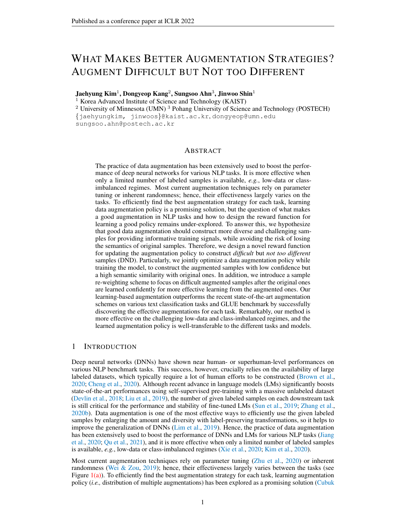# WHAT MAKES BETTER AUGMENTATION STRATEGIES? AUGMENT DIFFICULT BUT NOT TOO DIFFERENT

Jaehyung Kim $^1$ , Dongyeop Kang $^2$ , Sungsoo Ahn $^3$ , Jinwoo Shin $^1$ 

<sup>1</sup> Korea Advanced Institute of Science and Technology (KAIST)

<sup>2</sup> University of Minnesota (UMN)<sup>3</sup> Pohang University of Science and Technology (POSTECH) {jaehyungkim, jinwoos}@kaist.ac.kr, dongyeop@umn.edu

sungsoo.ahn@postech.ac.kr

## ABSTRACT

The practice of data augmentation has been extensively used to boost the performance of deep neural networks for various NLP tasks. It is more effective when only a limited number of labeled samples is available, *e.g.*, low-data or classimbalanced regimes. Most current augmentation techniques rely on parameter tuning or inherent randomness; hence, their effectiveness largely varies on the tasks. To efficiently find the best augmentation strategy for each task, learning data augmentation policy is a promising solution, but the question of what makes a good augmentation in NLP tasks and how to design the reward function for learning a good policy remains under-explored. To answer this, we hypothesize that good data augmentation should construct more diverse and challenging samples for providing informative training signals, while avoiding the risk of losing the semantics of original samples. Therefore, we design a novel reward function for updating the augmentation policy to construct *difficult* but *not too different* samples (DND). Particularly, we jointly optimize a data augmentation policy while training the model, to construct the augmented samples with low confidence but a high semantic similarity with original ones. In addition, we introduce a sample re-weighting scheme to focus on difficult augmented samples after the original ones are learned confidently for more effective learning from the augmented ones. Our learning-based augmentation outperforms the recent state-of-the-art augmentation schemes on various text classification tasks and GLUE benchmark by successfully discovering the effective augmentations for each task. Remarkably, our method is more effective on the challenging low-data and class-imbalanced regimes, and the learned augmentation policy is well-transferable to the different tasks and models.

## 1 INTRODUCTION

Deep neural networks (DNNs) have shown near human- or superhuman-level performances on various NLP benchmark tasks. This success, however, crucially relies on the availability of large labeled datasets, which typically require a lot of human efforts to be constructed [\(Brown et al.,](#page-9-0) [2020;](#page-9-0) [Cheng et al.,](#page-10-0) [2020\)](#page-10-0). Although recent advance in language models (LMs) significantly boosts state-of-the-art performances using self-supervised pre-training with a massive unlabeled dataset [\(Devlin et al.,](#page-10-1) [2018;](#page-10-1) [Liu et al.,](#page-11-0) [2019\)](#page-11-0), the number of given labeled samples on each downstream task is still critical for the performance and stability of fine-tuned LMs [\(Sun et al.,](#page-12-0) [2019;](#page-12-0) [Zhang et al.,](#page-12-1) [2020b\)](#page-12-1). Data augmentation is one of the most effective ways to efficiently use the given labeled samples by enlarging the amount and diversity with label-preserving transformations, so it helps to improve the generalization of DNNs [\(Lim et al.,](#page-11-1) [2019\)](#page-11-1). Hence, the practice of data augmentation has been extensively used to boost the performance of DNNs and LMs for various NLP tasks [\(Jiang](#page-10-2) [et al.,](#page-10-2) [2020;](#page-10-2) [Qu et al.,](#page-11-2) [2021\)](#page-11-2), and it is more effective when only a limited number of labeled samples is available, *e.g.*, low-data or class-imbalanced regimes [\(Xie et al.,](#page-12-2) [2020;](#page-12-2) [Kim et al.,](#page-10-3) [2020\)](#page-10-3).

Most current augmentation techniques rely on parameter tuning [\(Zhu et al.,](#page-12-3) [2020\)](#page-12-3) or inherent randomness [\(Wei & Zou,](#page-12-4) [2019\)](#page-12-4); hence, their effectiveness largely varies between the tasks (see Figure  $1(a)$ ). To efficiently find the best augmentation strategy for each task, learning augmentation policy (*i.e.,* distribution of multiple augmentations) has been explored as a promising solution [\(Cubuk](#page-10-4)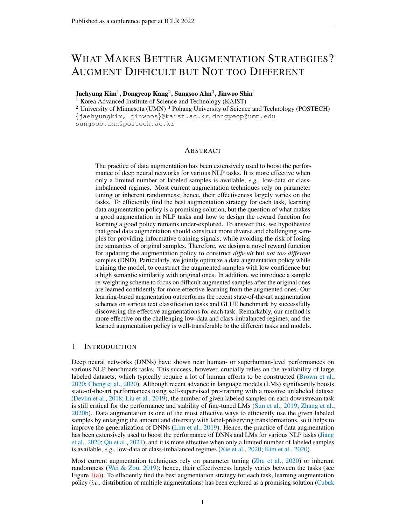<span id="page-1-0"></span>

<span id="page-1-2"></span><span id="page-1-1"></span>Figure 1: (a) Task-dependency of each augmentation method measured on 5-shot tasks in Section [4.2.](#page-6-0) (b) Test accuracy and semantic similarity between original and augmented samples under different reward functions to optimize the augmentation policy: Adversarial AutoAugment [\(Zhang et al.,](#page-12-5) [2020c\)](#page-12-5) and DND (Ours). (c) Distribution of augmentations learned via DND. Depend on a given task, the distribution of augmentations is automatically adapted.

[et al.,](#page-10-4) [2019;](#page-10-4) [Hataya et al.,](#page-10-5) [2020\)](#page-10-5). Here, a key for successful policy learning is on the design of reward function used to update it, which implicates what a good augmentation is; hence, various rewards are studied especially under vision tasks, *e.g.,* maximizing validation accuracy [\(Cubuk et al.,](#page-10-4) [2019\)](#page-10-4) or training loss [\(Zhang et al.,](#page-12-5) [2020c\)](#page-12-5). However, we found that these existing reward functions would not be enough for learning effective augmentation policy in NLP tasks. This is due to the different nature of NLP tasks from discrete input space or vulnerability of the semantics for a slight modification [\(Wang et al.,](#page-12-6) [2018;](#page-12-6) [Garg & Ramakrishnan,](#page-10-6) [2020\)](#page-10-6). For example, we found that the recent state-of-the-art augmentation learning approach used for image classification is not effective for NLP tasks as it suffers from losing the semantics of original sentence in augmentations (see Figure  $1(b)$ ). This motivates us to explore what criteria make a good augmentation, and how to design the reward function for policy to find them in NLP tasks.

Contribution. In this paper, we develop a simple yet effective augmentation scheme for NLP tasks, coined learning to augment Difficult, but Not too Different (DND). We first design a novel reward function for updating augmentation policy under the following intuition: an effective augmented sample should be more *difficult* than the original sample for providing 'informative' training signals, while maintaining its semantic meaning *not too different* from the original for avoiding 'wrong' signals. Specifically, we compose the reward function using two complementary ingredients from training model: (1) model's training loss for the given downstream task (on augmented samples) and (2) semantic similarity (between augmented and original samples) measured by using the contextualized sentence embeddings from the training language model.

We further apply a sample-wise re-weighting scheme when updating the model and policy with the augmented samples, to learn them more effectively by incorporating the original sample's learning status. Specifically, we assign more weight on the augmented sample, which (1) its corresponding original sample is learned enough, *i.e.*, has high confidence, and (2) the confidence gap between original and augmented samples is large. With the proposed reward function and re-weighting scheme, the augmentation policy is simultaneously optimized during the model fine-tuning with a gradient-based optimization, by applying an efficient continuous relaxation to the non-differentiable components within the augmentation policy (*e.g.,* sampling the augmentations from the policy).

We demonstrate the effectiveness of the proposed augmentation policy learning scheme on various text classification datasets and GLUE benchmark [\(Wang et al.,](#page-12-7) [2019\)](#page-12-7) , where our method consistently improves over the recent state-of-the-art augmentation schemes by successfully discovering the effective augmentation methods for each task (see Figure  $1(c)$ ). For example, on the six different text classification datasets, DND exhibited 16.45% and 8.59% relative test error reduction on average, compared to the vanilla and the previous best augmentation method, respectively. We also found that DND is more effective on the challenging low-resource and class-imbalanced regimes, and the learned augmentation policy can be easily transferable to the different tasks and models. This implies the broad applicability of our augmentation scheme: for instance, it might substitute the cost of augmentation learning on new tasks by using the pre-trained augmentation policies from DND.

## 2 RELATED WORKS

Data augmentation in NLP tasks. Recently, the interest in data augmentation has also increased on NLP tasks [\(Feng et al.,](#page-10-7) [2021\)](#page-10-7) and various data augmentation approaches have been proposed,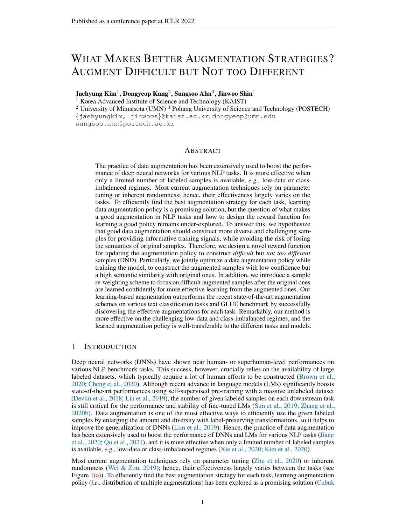

Figure 2: Illustration of learning to augment Difficult, but Not too Different (DND).

such as word replacement with pre-defined rules [\(Kang et al.,](#page-10-8) [2018;](#page-10-8) [Wei & Zou,](#page-12-4) [2019\)](#page-12-4) or pre-trained language models [\(Yi et al.,](#page-12-8) [2021\)](#page-12-8), back-translation [\(Xie et al.,](#page-12-2) [2020\)](#page-12-2), MixUp [\(Guo et al.,](#page-10-9) [2019\)](#page-10-9), and Cutoff [\(Shen et al.,](#page-11-3) [2020\)](#page-11-3). In a broader sense, adversarial training [\(Jiang et al.,](#page-10-2) [2020;](#page-10-2) [Zhu et al.,](#page-12-3) [2020\)](#page-12-3) can also be viewed as constructing augmented samples by adding perturbations to the word embedding. Stacking of these augmentations has been shown to provide further improvement [\(Qu](#page-11-2) [et al.,](#page-11-2) [2021\)](#page-11-2), but it requires the exhaustive searching cost for exploring each configuration one by one. Hence, the analysis what makes a good data augmentation is an emerging research direction [\(Miyato et al.,](#page-11-4) [2018;](#page-11-4) [Gontijo-Lopes et al.,](#page-10-10) [2020\)](#page-10-10). For example, after the extensive study on the existing augmentations in the vision tasks, Gontijo, et al. [\(Gontijo-Lopes et al.,](#page-10-10) [2020\)](#page-10-10) identify that the successful augmentations have the following properties: higher training loss and smaller distribution shift from the original. But, any specific way to obtain such a desired augmentation is not suggested.

Learning-based data augmentation. Automatically finding the effective data augmentation from data has naturally emerged to overcome the exhausting search cost from deciding which augmentation would be applied and tuning its parameters. Learning augmentation policy (*i.e.,* distribution of multiple augmentations), optimized to find the effective augmentation given a huge search space, is the representative method for this. Here, a key for successful policy learning is a design of reward function used to update it; hence, various objectives for learning augmentation policy have been proposed, especially in the computer vision. Maximizing the validation accuracy is arguably one of the most natural and successful approaches [\(Cubuk et al.,](#page-10-4) [2019;](#page-10-4) [Hu et al.,](#page-10-11) [2019\)](#page-10-11). Also, matching the distributions of original and augmented samples is popularly used as a learning objective by considering data augmentation as the problem of filling the missing data points of training distribution [\(Tran et al.,](#page-12-9) [2017;](#page-12-9) [Hataya et al.,](#page-10-5) [2020\)](#page-10-5). Recently, the augmentation policy optimized to increase the training loss outperforms previous approaches [\(Zhang et al.,](#page-12-5) [2020c;](#page-12-5) [Wu et al.,](#page-12-10) [2020\)](#page-12-10).

On the other hand, finding the efficient optimization method for learning augmentation policy is also widely explored to overcome the non-differentiability within the augmentation policy (*e.g.,* sampling the augmentations from the policy). Reinforcement learning has been the representative method [\(Cubuk et al.,](#page-10-4) [2019;](#page-10-4) [Zhang et al.,](#page-12-5) [2020c\)](#page-12-5), but more efficient continuous relaxation has been recently proposed [\(Hataya et al.,](#page-10-5) [2020;](#page-10-5) [Li et al.,](#page-11-5) [2020\)](#page-11-5). However, such learning-based data augmentation schemes have been under-explored for NLP tasks [\(Ren et al.,](#page-11-6) [2021\)](#page-11-6).

## 3 DND: AUGMENT DIFFICULT, BUT NOT TOO DIFFERENT

#### 3.1 OVERVIEW AND PROBLEM DESCRIPTION

Overview. In this section, we present our technique, coined learning to augment Difficult, but Not too Different (DND). Our main idea is optimizing the augmentation policy to construct a sample that (a) is more difficult than the original sample for improving the generalization of the classifier, yet (b) maintains the semantics of the original sample. In Section [3.2,](#page-3-0) we elaborate the reward and the training objective for our augmentation policy.[1](#page-2-0)

**Problem description.** We first describe the problem setup of our interest under a text classification scenario. Let D denote the given training dataset consisting of tuples  $(x, y) \in D$  where  $x =$ 

<span id="page-2-0"></span><sup>&</sup>lt;sup>1</sup>We use the terminologies of policy and reward following previous works [\(Li et al.,](#page-11-5) [2020;](#page-11-5) [Hataya et al.,](#page-10-5) [2020\)](#page-10-5), although our approach is not exactly a reinforcement learning algorithm.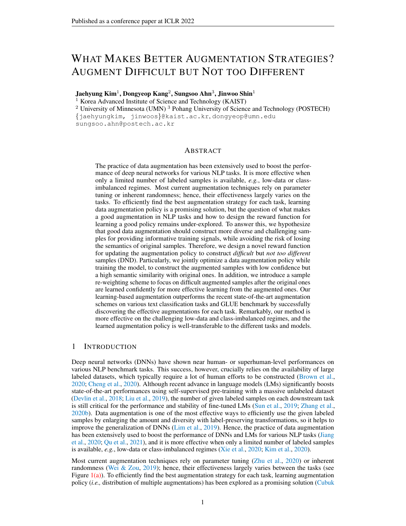$[x_1, \ldots, x_k]$  and y are the sequence of input tokens and the target label, respectively. Our goal is to train a classifier  $f(\mathbf{x})$ , initialized with a pre-trained transformer-based language model (*e.g.*, BERT [\(Devlin et al.,](#page-10-1) [2018\)](#page-10-1)), to minimize the task-specific loss  $\mathcal{L}_{\text{task}}(x, y)$  such as a cross-entropy loss  $\ell_{xe}(p(\mathbf{x}), y)$  where  $p(\mathbf{x}) = \text{Softmax}(f(\mathbf{x}))$ . For improving the model's generalization upon a (limited) training data D, one can construct the augmented sample  $\tilde{\mathbf{x}} = \tau(\mathbf{x})$  by applying a labelpreserving transformation  $\tau$ . In contrast to existing works relying on parameter tuning or inherent randomness for finding effective  $\tau$ , we consider optimizing the augmentation policy  $\tau$  where  $\tau \sim \tau$ to maximize a reward function R.

#### <span id="page-3-0"></span>3.2 REWARD AND TRAINING OBJECTIVE

To train our data augmentation policy  $\mathcal T$ , we train it to maximize the following reward function:

$$
\mathcal{R}(\mathbf{x}, \widetilde{\mathbf{x}}, y) = \mathcal{R}_{\text{task}}(\widetilde{\mathbf{x}}, y) + \lambda_{\text{s}} \mathcal{R}_{\text{sim}}(\mathbf{x}, \widetilde{\mathbf{x}}),
$$

where  $\tilde{\mathbf{x}} = \tau(\mathbf{x})$ ,  $\tau \sim \mathcal{T}$ .  $\mathcal{R}_{\text{task}}$  and  $\mathcal{R}_{\text{sim}}$  are the newly proposed reward functions to (1) provide the computer informative' learning signal to training classifier and (2) keep the semantic mean 'informative' learning signal to training classifier and (2) keep the semantic meaning of augmented sample  $\tilde{x}$  to be similar to the original x, respectively.

Rewarding difficult samples. To provide informative training signals, we encourage the augment policy to construct a harder view of the original sample; hard samples are known to facilitate training for many tasks, *e.g.*, object detection [\(Shrivastava et al.,](#page-11-7) [2016\)](#page-11-7), curriculum learning [\(Bengio et al.,](#page-9-1) [2009\)](#page-9-1) and data augmentation [\(Zhang et al.,](#page-12-5) [2020c;](#page-12-5) [Wu et al.,](#page-12-10) [2020\)](#page-12-10). To this end, we reward the policy for generating an augmented sample  $\tilde{\mathbf{x}} = \tau(\mathbf{x})$ ,  $\tau \sim \mathcal{T}$  with high training loss, while down-weighing the case where the high training loss incurred from the original sample  $x$ , not the augmentation policy  $\mathcal T$ . To this end, we update the augmentation policy  $\mathcal T$  to maximize the following reward:

<span id="page-3-2"></span>
$$
\mathcal{R}_{\text{task}}(\widetilde{\mathbf{x}}, y) = w(\mathbf{x}) \mathcal{L}_{\text{task}}(\widetilde{\mathbf{x}}, y), \quad w(\widetilde{\mathbf{x}}) = p_{y}(\mathbf{x}) \ (\max\{p_{y}(\mathbf{x}) - p_{y}(\widetilde{\mathbf{x}}), 0\}) \tag{1}
$$

where  $p(\mathbf{x}) = \text{Softmax}(f(\mathbf{x}))$ . Intuitively, the re-weighting factor  $w(\tilde{\mathbf{x}})$  emphasizes the samples of which (a) the griding cample is confidently learned (i.e., large  $p(\mathbf{x})$ ) and (b) the gap of bardness which (a) the original sample is confidently learned (*i.e.*, large  $p_y(x)$ ) and (b) the gap of hardness between the original and the augmented sample is large (*i.e.*, large  $p_v(\mathbf{x}) - p_v(\tilde{\mathbf{x}})$ ).

**Rewarding not too different samples.** However, without proper regularization, the reward  $\mathcal{R}_{task}$ may derive the augmentation policy to generate samples that are semantically meaningless, *e.g.*, out-of-distribution samples [\(Gong et al.,](#page-10-12) [2020;](#page-10-12) [Wei et al.,](#page-12-11) [2020\)](#page-12-11) or samples losing the characteristics of the target label y. See Figure  $1(b)$  and  $5(b)$  for a demonstration of such a behavior. Hence, for reducing such a potential risk, we further update the augmentation policy  $\mathcal T$  to keep the semantic meaning of augmented sample  $\tilde{\mathbf{x}}$  be similar to the original x. To this end, we first extract the semantics of sentence x from its contextualized embedding  $\mathbf{o} = [o_1, \dots, o_L]$  where  $o \cdot$  is  $\ell$ -th output of the transformer model [\(Reimers et al.,](#page-11-8) [2019;](#page-11-8) [Zhang et al.,](#page-12-12) [2020a\)](#page-12-12). Then, a linear classifier  $g_W$  is applied to classify whether the given embedding pair  $(o_1, o_2)$  comes from the same sample  $(y_{pos})$  or not  $(y_{\text{neq}})$ , respectively. With this classifier, we formulate the reward,  $\mathcal{R}_{\text{Sim}}$ , for updating policy to correctly classify the given  $(x, \tilde{x})$  as positive, hence maintain the semantic of original x as follow:

<span id="page-3-6"></span>
$$
\mathcal{R}_{\text{si m}}(\mathbf{x}, \widetilde{\mathbf{x}}) = -\ell_{\text{xe}}(p_W(\mathbf{m}, \widetilde{\mathbf{m}}), y_{\text{pos}}),
$$
\n(2)

where  $\ell_{xe}$  is the cross-entropy loss with  $p_W(\mathbf{m}, \widetilde{\mathbf{m}}) = \text{Softmax}(g_W(\mathbf{m}, \widetilde{\mathbf{m}}))$  and

<span id="page-3-5"></span>
$$
g_W(\mathbf{m}_1, \mathbf{m}_2) = W \cdot \text{Concat}(\mathbf{m}_1, \mathbf{m}_2, |\mathbf{m}_1 - \mathbf{m}_2|), \quad \mathbf{m} = \text{Mean-Pool}(\mathbf{o}) = \frac{1}{L} \sum_{i=1}^{L} o \quad (3)
$$

To train this linear classifier  $g_W$ , we add the following loss for training the classifier:

<span id="page-3-3"></span>
$$
\mathcal{L}_{\text{Si m}}(\mathbf{x}, \mathbf{x}) = \ell_{\text{xe}}(p_W(\mathbf{m}, \widetilde{\mathbf{m}}), y_{\text{pos}}) + \ell_{\text{xe}}(p_W(\mathbf{m}, \mathbf{n}), y_{\text{neg}})
$$
(4)

where **n** is the mean-pooled contextualized embedding of the other training sample except  $x$  itself.<sup>[2](#page-3-1)</sup>

Furthermore, since the quality of contextualized embedding o is critical for our algorithm, we additionally constrain each  $\alpha \cdot$  to preserve the semantics of input tokens  $x \cdot$ . To this end, we additionally train our classifier with a word reconstruction loss  $\mathcal{L}_{recon}$ :

<span id="page-3-4"></span>
$$
\mathcal{L}_{\text{recon}}(\mathbf{x}) = \sum_{l=1}^{L} \ell_{\text{xe}}(p_{\mathbf{V}}(o_l), x_l)
$$
(5)

<span id="page-3-1"></span><sup>&</sup>lt;sup>2</sup>Effect of using MLP for similarity loss is discussed in Appendix  $\overline{F}$ .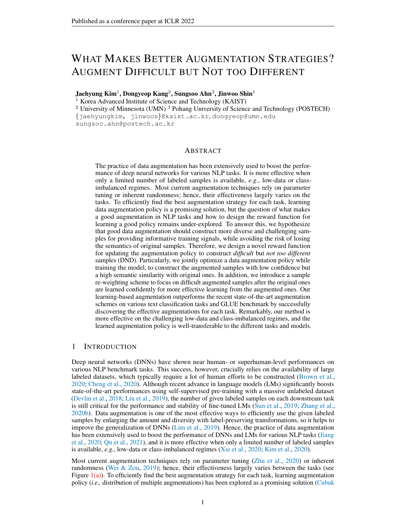#### Algorithm 1 Learning to augment difficult, but dot too different (DND)

| <b>Input:</b> Classifier from a pre-trained language model f, linear classifier $q_W$ , data augmentation                                                                                                                                                                 |
|---------------------------------------------------------------------------------------------------------------------------------------------------------------------------------------------------------------------------------------------------------------------------|
| policy $\mathcal T$ , training data $\mathcal D$ , model learning rate $\eta$ , policy learning rate $\eta$ , update frequency $T_{\rho}$                                                                                                                                 |
| for each iteration t do                                                                                                                                                                                                                                                   |
| Draw a mini-batch $\mathcal{B} = \{(\mathbf{x}_i, y_i)_{i=1}^B\}$ from $\mathcal{D}$                                                                                                                                                                                      |
| Construct augmented samples from policy $\mathcal{B} = \{(\mathbf{x}_i, y_i)\}_{i=1}^B$ where $\mathbf{x}_i = \tau(\mathbf{x}_i)$ , $\tau \sim \mathcal{T}$                                                                                                               |
| Update model to minimize $\mathcal{L}_{\text{task}}(\mathbf{x}_i, y_i) + w(\tilde{\mathbf{x}}_i)\mathcal{L}_{\text{task}}(\tilde{\mathbf{x}}_i, y_i) + \mathcal{L}_{\text{sim}}(\mathbf{x}_i, \tilde{\mathbf{x}}_i) + \lambda_r \mathcal{L}_{\text{recon}}(\mathbf{x}_i)$ |
| if t % $T_p = 0$ then                                                                                                                                                                                                                                                     |
| Update policy to maximize $\mathcal{R}_{\text{task}}(\mathbf{x}_i, y_i) + \lambda_s \mathcal{R}_{\text{sim}}(\mathbf{x}_i, \mathbf{x}_i)$                                                                                                                                 |
| end if                                                                                                                                                                                                                                                                    |
| end for                                                                                                                                                                                                                                                                   |

where  $p_V(o)$  = Softmax $(oV^>)$  and V is the word embeddings matrix within the transformer model.  $\mathcal{L}_{\text{recon}}$  effectively preserves the information within output embeddings learned through a pre-training phase; hence, it could provide better output embeddings. More discussions are given in Appendix [F.](#page-21-0)

In overall, our training loss of the classifier is as follow with a fixed hyper-parameter  $\lambda_{\Gamma}$ :

$$
\mathcal{L}(\mathbf{x}, y) = \mathcal{L}_{\text{task}}(\mathbf{x}, y) + w(\widetilde{\mathbf{x}})\mathcal{L}_{\text{task}}(\widetilde{\mathbf{x}}, y) + \mathcal{L}_{\text{sim}}(\mathbf{x}, \widetilde{\mathbf{x}}) + \lambda_r \mathcal{L}_{\text{recon}}(\mathbf{x}).
$$
 (6)

#### 3.3 CONTINUOUS RELAXATION FOR TRAINING THE AUGMENTATION POLICY

Here, we describe the details on how the augmentation policy is optimized to maximize the non-differentiable reward function defined in Section [3.2.](#page-3-0) We first note that  $\mathcal T$  consists of T consecutive operations  $\mathcal{O}_1, \ldots, \mathcal{O}_T$  where the operations are used to sample the augmentation from a pool of K augmentations  $\tau_1, \ldots, \tau_K$ . Here, each operation  $\mathcal{O}_t$  is parameterized as  $\mathcal{O}_t(\mathbf{p}_t, t)$ , where  $p = [p_1, \dots, p_K]$ ,  $\sum_k p_k = 1$  is the probability to sample the augmentation from the pool, and  $\sum_k p_k = 1$  $[\mu_1, \ldots, \mu_K]$  is the magnitudes used when each augmentation  $\tau_k$  is sampled, *i.e.*,  $\tau_k(\cdot; \mu_k) \sim \mathcal{O}(\rho, )$ with a probability  $p_k$ . Hence, as the non-differentiabiliy from operations breaks the gradient flow from the classifier (*e.g.,* sampling the augmentation), it is non-trivial how to optimize the parameters of augmentation policy  $= {\mathbf{p}_t, \quad t}_{t=1}^T$ .

To this end, we adopt a continuous relaxation for each operation following [\(Hataya et al.,](#page-10-5) [2020;](#page-10-5) [Li](#page-11-5) [et al.,](#page-11-5) [2020\)](#page-11-5), hence makes it be differentiable with respect to two trainable parameters of policy: probability  $p$  and magnitude . Here, the key idea is using 1) Gumbel-Softmax [\(Jang et al.,](#page-10-13) [2017\)](#page-10-13) instead of Categorical distribution for sampling with  $p$ , and 2) straight-through estimator for [\(Ben](#page-9-2)[gio et al.,](#page-9-2) [2013\)](#page-9-2). Therefore, by using this continuous relaxation, the classifier and the augmentation policy would be alternately trained in a fully differentiable manner. More discussions about the used augmentation pool and details are in Section [4.1](#page-4-0) and Appendix [A.3.](#page-15-0)

### <span id="page-4-1"></span>4 EXPERIMENTS

In this section, we evaluate our algorithm using two important NLP tasks: (1) text classification and (2) entailment tasks. We first describe the experimental setups in Section [4.1.](#page-4-0) In Section [4.2,](#page-6-0) we present empirical evaluations on DND and other baseline augmentations under both classification and entailment tasks. Finally, in Section [4.3,](#page-7-0) we provide additional analysis on our algorithm regarding (a) ablation of each component, (b) transferability of learned policy, (c) behavior of the learned augmentation policy. In Appendix  $D$  and  $E$ , additional qualitative and quantitative results are presented, respectively. Also, more ablation studies are given in Appendix [F](#page-21-0) and [G.](#page-23-0)

#### <span id="page-4-0"></span>4.1 EXPERIMENTAL SETUPS

Datasets and tasks. For the text classification task, we use the following benchmark datasets: (1) News20 [\(Lang,](#page-11-9) [1995\)](#page-11-9), (2) Review50 [\(Chen & Liu,](#page-9-3) [2014\)](#page-9-3), and (3) CLINC150 [\(Larson et al.,](#page-11-10) [2019\)](#page-11-10) for topic classification, (4) IMDB [\(Maas et al.,](#page-11-11) [2011\)](#page-11-11) and SST-5 [\(Socher et al.,](#page-11-12) [2013\)](#page-11-12) for sentiment classification, and (6) TREC [\(Li & Roth,](#page-11-13) [2002\)](#page-11-13) for question type classification. For datasets without given validation data, we use 10% of its training samples for the validation. With these datasets, we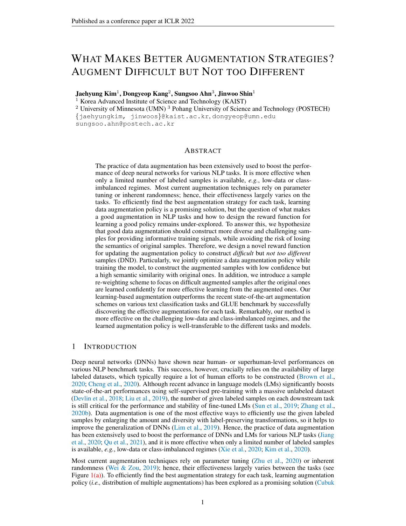<span id="page-5-0"></span>Table 1: Test accuracy of RoBERTa classifiers after fine-tuning with each data augmentation method on 6 different text classification datasets under (5-shot / full) setups. All the values and error bars are mean and standard deviation across 3 random seeds. The best and the second best results are indicated in bold and underline, respectively.

| Method     | <b>IMDB</b>                                                                                   | $SST-5$                                                                                                                                                                                                                                                                                  | TREC                      | News20                    | Review50                      | CLINC150                           |
|------------|-----------------------------------------------------------------------------------------------|------------------------------------------------------------------------------------------------------------------------------------------------------------------------------------------------------------------------------------------------------------------------------------------|---------------------------|---------------------------|-------------------------------|------------------------------------|
|            |                                                                                               | Vanilla   59.1 $\frac{3.2}{9.2}$ $\frac{1}{25.2}$ $\frac{2.5}{9.2}$ $\frac{2.5}{9.2}$ $\frac{2.5}{9.2}$ $\frac{5.7}{1.4}$ $\frac{2.5}{9.2}$ $\frac{69.3}{9.4}$ $\frac{6.3}{9.4}$ $\frac{2.1}{8.2}$ $\frac{8.2}{9.4}$ $\frac{2.0}{9.4}$ $\frac{4.5}{4.5}$ $\frac{1}{1.4}$ $\frac{1}{9.1}$ |                           |                           |                               | $86.4$ 0.3 / 95.5 0.2              |
| <b>EDA</b> | $56.7$ 2.1 / 95.3 0.1                                                                         | $27.4$ 1.8 / 57.2 0.5 71.8 3.5 / 97.0 0.2                                                                                                                                                                                                                                                |                           | $47.8$ $24/83.3$ 06       | $46.4$ 1.1 / 72.4 0.1         | $87.1 \text{ os} / 96.1 \text{ s}$ |
|            | Adversarial $\begin{array}{ c c c c c } \hline 66.1 & 2.7 & 95.5 & 0.1 \\ \hline \end{array}$ | $27.0$ 3.5 / 56.2 1.0                                                                                                                                                                                                                                                                    | $72.5 \t3.7 / 97.3 \t0.3$ | $47.3 \t0.6 / 83.4 \t0.2$ | $45.7 \t0.6 / 73.0 \t0.2$     | $87.4$ 0.3 / 96.0 0.2              |
| BERT-aug   | $62.2$ 2.2 / 95.3 0.1                                                                         | 27.0 3.2 / 56.4 1.4 71.2 2.1 / 97.2 0.4                                                                                                                                                                                                                                                  |                           | $47.3$ 0.3 / 83.3 0.3     | $46.0$ 1.0 / 72.5 0.1         | $85.0\ \text{a}3/95.9\ \text{a}4$  |
| Cutoff     | 61.2 $3.7/95.4$ 0.2                                                                           | $26.8$ 1.4 / 56.2 0.8                                                                                                                                                                                                                                                                    | $71.1$ 4.3 / 97.5 0.5     | 48.9 $2.5/83.4$ 0.4       | $47.2 \t2.0 / 72.7 \t0.2$     | $86.7$ 0.7 / 96.0 0.1              |
| R3F        | 61.3 $2.4/95.5$ 0.1                                                                           | $25.3 \t3.5 / 57.1 \t1.1$                                                                                                                                                                                                                                                                | $70.5$ 4.3 / 97.5 0.5     | $48.4$ 1.1 / 83.3 0.3     | $45.6$ 1.2 / 72.8 0.2         | $86.8$ 0.1 / 95.7 0.1              |
| MixUp      | $52.9$ $3.3/95.4$ 0.2                                                                         | $28.2 \t2.2 / 57.0 \t1.2$                                                                                                                                                                                                                                                                | $71.6$ 1.0 / 97.1 0.3     | $48.5$ 0.4 / 82.9 0.1     | $47.9$ 1.1 / $72.4$ 0.1       | $87.1 \t{0.3} / 96.2 \t{0.3}$      |
| Back-trans | $159.6$ 3.8 / 95.3 0.1                                                                        | $25.7$ $2.7/57.5$ 0.3 $72.1$ $3.7/97.0$ 0.2                                                                                                                                                                                                                                              |                           | $48.8$ 2.1 / 82.6 0.6     | $46.2 \ \ 0.6 / 72.0 \ \ 0.2$ | $86.8$ 0.4 / 95.9 0.3              |
| Back&Adv   | $65.2$ 2.3 / 95.6 0.1                                                                         | 27.5 12/57.2 0.4 72.7 4.2/97.1 0.3 47.7 2.2/83.2 0.5                                                                                                                                                                                                                                     |                           |                           | $45.5$ 1.0 / 73.3 0.1         | 87.8 $0.1 / 96.2$ 0.2              |
|            |                                                                                               | Ours   69.6 2.7 / 95.7 0.1 29.7 2.0 / 58.3 0.4 74.1 1.4 / 98.0 0.2 50.4 1.4 / 85.2 0.4 49.8 0.5 / 74.9 0.2                                                                                                                                                                               |                           |                           |                               | <b>88.4</b> 0.4 / 96.6 0.1         |

construct the 5-shot and class-imbalanced variants to further verify the effectiveness of augmentation for more challenging scenarios. We also validate the proposed method on GLUE benchmark [\(Wang](#page-12-7) [et al.,](#page-12-7) [2019\)](#page-12-7), which is a collection of diverse natural language understanding tasks: 1 regression task (STS-B) and seven different classification tasks (RTE, MRPC, CoLA, SST-2, QNLI, QQP, and MNLI). As different metrics are used for each task in GLUE benchmark, we specify the used metric under the name of each task in Table [3.](#page-6-1) For the evaluation, the given development set is used. Detailed descriptions of tasks and construction of 5-shot and class-imbalanced datasets are in Appendix [A.1.](#page-13-0)

Baselines. We compare our method with various baseline augmentations in NLP tasks. We first consider a naïve fine-tuning without data augmentation, denoted by (*a*) Vanilla, followed by various augmentation schemes; (*b*) EDA [\(Wei & Zou,](#page-12-4) [2019\)](#page-12-4): synonym replacement, random insertion, random swap, and random deletion are randomly applied; (*c*) Adversarial [\(Jiang et al.,](#page-10-2) [2020;](#page-10-2) [Zhu](#page-12-3) [et al.,](#page-12-3) [2020\)](#page-12-3): adversarial example is constructed by adding adversarial perturbation on the word embedding; (*d*) BERT-aug [\(Yi et al.,](#page-12-8) [2021\)](#page-12-8): input sentence is randomly masked, then filled with pre-trained BERT to construct new sample; (*e*) Cutoff [\(Shen et al.,](#page-11-3) [2020\)](#page-11-3): continuous span of word embedding is masked out similar to Dropout [\(Srivastava et al.,](#page-12-13) [2014\)](#page-12-13); (*f*) R3F [\(Aghajanyan et al.,](#page-9-4) [2021\)](#page-9-4): random noise are added to word embedding, then consistency loss is applied between original and perturbed sample; (*g*) MixUp [\(Guo et al.,](#page-10-9) [2019\)](#page-10-9): two independent samples are mixed on the word embedding and label space; (*h*) Back-trans [\(Xie et al.,](#page-12-2) [2020\)](#page-12-2): two translation models perform source to target and target to source translations; (*i*) Back&Adv [\(Qu et al.,](#page-11-2) [2021\)](#page-11-2): composition of back-translation and adversarial perturbation, that was identified as the best way for using multiple augmentations [\(Qu et al.,](#page-11-2) [2021\)](#page-11-2). Details on the implementations are presented in Appendix  $A.2$ .

Training details. All the experiments are conducted by fine-tuning RoBERTa-base [\(Liu et al.,](#page-11-0) [2019\)](#page-11-0) using Adam optimizer [\(Kingma & Ba,](#page-10-14) [2015\)](#page-10-14) with a fixed learning rate 1e-5 and the default hyperparameters of Adam. For the text classification tasks, the model is fine-tuned using the specified augmentation method with batch size 8 for 15 epochs. For GLUE benchmark task, we commonly use batch size 16, except RTE task with batch size 8 following [\(Aghajanyan et al.,](#page-9-4) [2021\)](#page-9-4). Under each augmentation, the model is fine-tuned for 20 epochs on small tasks (RTE, MRPC, STS-B, CoLA) or 10 epochs on larger tasks (SST-2, QNLI, QQP, MNLI).

In the case of DND, we optimize the augmentation policy using Adam optimizer. We choose hyperparameters in our method from a fixed set of candidates; the update frequency  $T_p \in \{1, 5, 10, 100\}$ ,  $\lambda_{\rm s} \in \{0.1, 0.5, 1.0, 2.0\}$ , and  $(\alpha, \beta) \in \{(0, 0), (0.5, 0.5)\}$  based on the validation set. Intuitively, the smaller datasets are beneficial for smaller  $T_p$  and  $\lambda_s$ . Other hyperparameters are fixed as  $\lambda_r = 0.05$ and policy's learning rate  $\gamma$  as 1e-3. We use a simple two-layer MLPs for W. As the data augmentation pool, we include all the baseline augmentation except MixUp because it synthesizes a completely new sample by mixing two original samples. Hence, it is not clear whether it is meaningful to keep the similarity between original and augmented samples, which is the key component of DND. Also, to reduce the computational burden from the external models, we only update the probability to be sampled for the word-level augmentations (BERT-aug, Back-trans, and EDA) by generating augmented sentences before training following prior works [\(Wei & Zou,](#page-12-4) [2019;](#page-12-4) [Yi et al.,](#page-12-8) [2021;](#page-12-8) [Qu et al.,](#page-11-2) [2021\)](#page-11-2). With this augmentation pool, our augmentation policy is composed of  $T = 2$ consecutive operations. Also, to construct more diverse augmentations, we simultaneously train four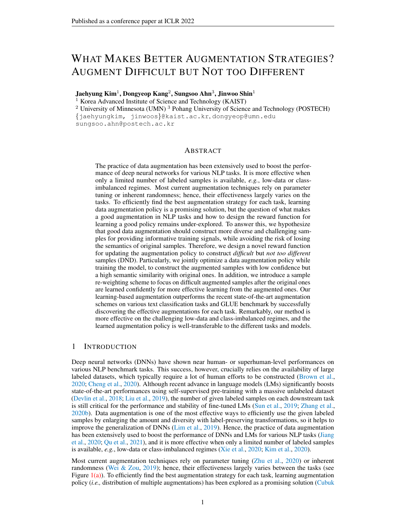<span id="page-6-2"></span>Table 2: Comparison of classification performance (bACC/GM) with RoBERTa classifiers on 3 different text classification datasets under 2 different class-imbalance ratio  $\gamma_{\rm imb}$ . Except the graycolored row, the classifiers are fine-tuned with over-sampled datasets augmented by each data augmentation method. All the values and error bars are mean and standard deviation across 3 random seeds. The best and the second best results are indicated in bold and underline, respectively.

|             |                                   | $SST-2$                        |                                                 | News20                      | Review <sub>50</sub>                      |                                   |  |
|-------------|-----------------------------------|--------------------------------|-------------------------------------------------|-----------------------------|-------------------------------------------|-----------------------------------|--|
| Method      | $\gamma_{\rm imb} = 100$          | $\gamma_{\rm imb} = 20$        | $\gamma_{\text{imb}} = 100$                     | $\gamma_{\rm imb} = 20$     | $\gamma$ i mb $= 100$                     | $\gamma_{\rm imb} = 20$           |  |
| Vanilla     | $66.1$ 4.9 / 59.7 8.9             | $87.8$ 0.4 / 87.6 0.4          | $65.9$ 0.6 / 59.7 2.6                           | $72.5 \t 0.7 / 71.0 \t 0.9$ | $58.2\ \frac{0.2}{45.0}\ \frac{1.0}{1.0}$ | $64.2$ 0.5 / 57.9 1.0             |  |
| Re-sample   | $71.6$ 43/65.8 6.5                | $87.9$ 0.2 / 87.6 0.2          | $66.7$ 0.7/61.6 1.3                             | $73.0 \t0.471.4 \t0.3$      | 59.6 $09/49.3$ 42                         | $65.0 \text{ a}4/60.5 \text{ a}9$ |  |
| <b>EDA</b>  | $71.9 \times 7/64.3$              | $88.6$ 03/88.4 03              | $66.4$ 04/60.8 09                               | $74.0 \times 72.4 \times 8$ | $60.8$ 04/49.1 13                         | $65.2$ 0.4 / 60.7 1.4             |  |
| Adversarial | $78.2 \frac{37}{75.3}$ 50         | $90.1 \div 89.9 \div 2$        | $66.8$ 11/60.4 37                               | $75.0$ 0.7 / $73.9$ 1.0     | $61.8$ 04/52.0 14                         | $67.1 \t0.2 / 63.4 \t0.9$         |  |
| BERT-aug    | $67.9\text{ }62/60.1\text{ }63$   | $89.8$ 0.2 / 89.7 0.4          | $66.5$ 0.3 / 59.8 0.2                           | $74.1$ 07/72.7 07           | $60.7 \div 52.6 \times 6$                 | $65.3$ 0.5 / 60.8 0.9             |  |
| Cutoff      | $77.2 \times 74.2 \times 55$      | $89.4$ 03/89.3 03              | $67.0 \text{ o}6/61.4 \text{ o}6$               | 73.7 11/71.9 10             | $60.8$ 04/50.2 07                         | $65.6 \ \ 0.6 / 61.1 \ \ 1.4$     |  |
| R3F         | $72.5 + 13/67.9$ 24               | $89.1 + 6/88.9$ 18             | $66.5$ 08/60.9 21                               | 73.9 04/72.4 04             | 59.6 $06/47.2$ 27                         | $65.2$ $05/60.5$ 11               |  |
| MixUp       | $71.1 \t3.0 / 65.5 \t4.7$         | $90.2 \div 90.1 \div 2$        | $68.0$ 0.2/64.1 0.9                             | $73.7 \div 72.6 \div 2$     | $61.7$ 01/52.3 01                         | $65.9$ 02/62.0 09                 |  |
| Back-trans  | $71.3$ 4.1 / 65.5 6.7             | $89.4$ 0.5 / 89.3 0.6          | $66.7 \frac{0.7}{61.9}$<br>1 <sub>0</sub>       | $73.5 + 13/71.0 + 27$       | $60.7$ 0.8 / $50.4$ 3.2                   | $65.7$ 0.3/61.9 0.9               |  |
| Back&Adv    | $78.8$ 1.5 / 77.5 3.0             | $90.3 \t 0.2 / 90.2 \t 0.2$    | $67.0 \text{ o} \cdot 5/60.7 \text{ o} \cdot 6$ | $74.0$ 0.3 $/71.7$ 1.5      | $61.9$ 0.1 / $52.9$ 0.2                   | $66.7$ 0.2 / 63.0 0.5             |  |
| Ours        | <b>84.3</b> 2.8 / <b>83.5</b> 3.5 | <b>91.1</b> $0.5 / 91.0$ $0.6$ | 69.8 $1.0 / 66.4$ 1.0                           | $76.8$ 0.5 / $76.0$ 0.7     | 63.9 $0.9 / 54.0$ 1.7                     | 68.4 $_{0.2}$ / 64.0 $_{0.8}$     |  |

<span id="page-6-1"></span>Table 3: Evaluation results of vanilla (RoBERTa) classifiers with the GLUE development set after fine-tuning with each data augmentation method on the given task. All the values are mean across 3 random seeds and the standard deviation is presented in Appendix [C.](#page-17-0) The best and the second best results are indicated in bold and underline, respectively. Gray-colored scores are those lower than the corresponding vanilla scores.

| Method<br>(Metrics) | <b>RTE</b><br>(Acc) | <b>MRPC</b><br>(Acc) | STS-B<br>(P/S) | CoLA<br>(Mcc) | $SST-2$<br>(Acc) | QNLI<br>(Acc) | QQP<br>(Acc/Fl) | MNLI-m/mm<br>(Acc) |
|---------------------|---------------------|----------------------|----------------|---------------|------------------|---------------|-----------------|--------------------|
| Vanilla             | 79.4                | 89.62                | 90.72/90.42    | 62.2          | 94.46            | 92.64         | 90.87/88.17     | 87.34/86.85        |
| <b>EDA</b>          | 77.8                | 90.03                | 90.14/89.92    | 55.8          | 94.96            | 92.56         | 91.41/88.50     | 87.46/87.31        |
| Adversarial         | 80.5                | 91.00                | 91.08/90.68    | 63.5          | 94.88            | 93.18         | 91.50/88.58     | 87.91/87.84        |
| BERT-aug            | 79.6                | 90.11                | 89.47/89.35    | 61.2          | 94.47            | 92.95         | 91.07/88.27     | 87.73/87.25        |
| Cutoff              | 78.0                | 91.01                | 90.53/90.27    | 64.0          | 94.42            | 92.84         | 91.13/88.27     | 87.22/87.22        |
| R3F                 | 79.7                | 90.69                | 90.77/90.56    | 64.6          | 94.95            | 93.06         | 91.30/88.54     | 87.97/87.66        |
| MixUp               | 79.8                | 90.08                | 90.46/90.16    | 64.3          | 94.50            | 92.69         | 90.98/88.06     | 87.50/87.02        |
| Back-trans          | 79.9                | 90.20                | 90.54/90.33    | 58.8          | 94.53            | 92.64         | 90.82/88.05     | 87.50/87.06        |
| Back&Adv            | 80.9                | 90.69                | 90.61/90.33    | 59.5          | 95.01            | 93.07         | 91.29/88.49     | 87.73/87.53        |
| Ours                | 81.5                | 91.18                | 90.78/90.49    | 65.0          | 95.30            | 93.48         | 91.85/89.00     | 88.21/88.12        |

augmentation policies by randomly selecting one of them for each mini-batch. More details can be found in Appendix [A.3.](#page-15-0)

#### <span id="page-6-0"></span>4.2 EXPERIMENTAL RESULTS ON TEXT CLASSIFICATION AND GLUE BENCHMARK

To verify the effectiveness of DND, we compare DND with various data augmentation schemes in the scenario of fine-tuning RoBERTa-base model for each downstream task. Table [1](#page-5-0) summarizes the experimental results on six text classification tasks, along with the challenging low-resource scenarios (*i.e.,* 5-shot). On the original full datasets, DND consistently outperforms the baseline augmentations for all datasets. To be specific, DND exhibits 16.45% relative test error reduction compared to the vanilla method in the average. Furthermore, compared to the previous best augmentation method for each dataset, DND exhibits 8.59% relative test error reduction in the average. In the case of challenging 5-shot datasets, our method again outperforms the strong baselines with a larger margin. These results show that our method successfully provides 'informative' learning signals to the training classifier regardless of the number of given labeled datasets.

Next, we evaluate DND on class-imbalanced datasets; more practical setups suffer from the limited training data. Here, we consider one more natural baseline, 'Re-sampling', that equally samples each class in a mini-batch. Then, it is combined with each augmentation by applying augmentation instead of using duplicated samples for re-sampling (for details, see Appendix [A.1\)](#page-13-0). For the evaluation, we report two popular metrics for class-imbalance: the arithmetic mean (bACC) and geometric mean (GM) over class-wise accuracy. In Table [2,](#page-6-2) one can observe that the gain from data augmentation is more significant compared to the case of balanced datasets, as the lack of diversity in minority classes would be addressed by it. However, our learning-based augmentation scheme further enlarges this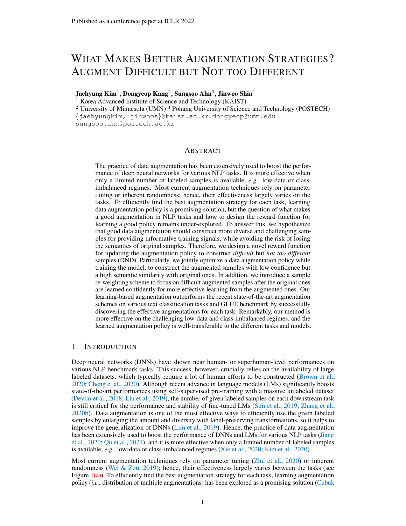<span id="page-7-1"></span>Table 4: Ablation study on different criteria for updating policy. Test accuracy of vanilla (RoBERTa) classifiers after fine-tuning across various augmentations and learning objectives on News20 and Review50 are compared. All the values and error bars are mean and standard deviation across 3 random seeds. The best and the second best results are indicated in bold and underline, respectively.

| Dataset   Vanilla | Fixed |  | Random Difficult Not Different Validation   DND (no $w$ )                                   |                                               | DND |
|-------------------|-------|--|---------------------------------------------------------------------------------------------|-----------------------------------------------|-----|
|                   |       |  | News20   82.49 0.23 84.06 0.19 84.58 0.16 83.96 0.12 84.65 0.13                             | $85.08$ 0.07   $85.02$ 0.20 <b>85.19</b> 0.35 |     |
|                   |       |  | Review 50   71.58 $_{0.18}$ 73.57 $_{0.09}$ 73.04 $_{0.07}$ 73.52 $_{0.06}$ 72.64 $_{0.02}$ | $73.72$ 0.22   $74.13$ 0.16 <b>74.87</b> 0.17 |     |

<span id="page-7-2"></span>Table 5: Transferability of DND: test accuracy of the specified language model after fine-tuning across various augmentations. The augmentation policy learned with RoBERTa on News20 dataset is used as a base policy being transferred. All the values and error bars are mean and standard deviation across 3 random seeds. The best is indicated in bold.

|                                                            | Model transfer Dataset transfer   Vanilla Fixed Random Transfer                                                                                                                                |  |  |
|------------------------------------------------------------|------------------------------------------------------------------------------------------------------------------------------------------------------------------------------------------------|--|--|
|                                                            | RoBERTa News20 $\rightarrow$ Review50   71.44 $_{0.07}$ 73.34 $_{0.11}$ 72.97 $_{0.11}$ 73.93 $_{0.01}$<br>RoBERTa News20 $\rightarrow$ Clinc150   95.48 0.21 96.50 0.07 96.31 0.04 96.63 0.07 |  |  |
| $RoBERTa \rightarrow BERT$<br>$RoBERTa \rightarrow ALBERT$ | News20   84.11 0.58 84.65 0.12 86.01 0.06 <b>86.32</b> 0.02<br>News20 79.70 0.23 80.03 0.10 79.37 0.31 80.48 0.08                                                                              |  |  |

gain by constructing the augmented samples specialized for improving minority classes, based on its task-wise adaptability. Specifically, DND exhibits 20.33% and 9.12% relative test error reductions in the average compared to Re-sampling and the previous best augmentation method, respectively. Additionally, we perform t-test on the results in Tables 1 and 2 to validate the statistical significance of DND compared to other baselines. Here, we observe that the average p-value is 0.050, which is generally known to indicate the statistical significance of the results.

Furthermore, we evaluate DND on the GLUE benchmark, composed of 8 different tasks. Table [3](#page-6-1) summarizes the corresponding results, and one can observe that DND consistently improves the RoBERTa-base model for all tasks; furthermore, DND outperforms the strong baselines for most cases. We remark that the existing augmentations are sometimes even harmful, as they can't consider the characteristics of each task. For example, the goal of CoLA task is classifying whether the given sentence is grammatically valid or not. Hence, this task is much sensitive to linguistic change, and it results in the degradation with the word-level augmentation methods. In contrast, our method automatically reflects such inherent characteristics of each task.

#### <span id="page-7-0"></span>4.3 ADDITIONAL ANALYSES

Ablation study. To verify the effectiveness of the proposed reward function, we compare the following augmentation methods: (1) *Vanilla*: no data augmentation; (2) *Fixed*: fixed augmentation is applied throughout the fine-tuning. We choose the baseline augmentation that shows the best performance in Table [1;](#page-5-0) (3) *Random*: augmentation is randomly selected among the augmentation pool at each training step; (4) *Difficult*: policy is updated to increase the training loss of the augmented sample like [Zhang et al.](#page-12-5) [\(2020c\)](#page-12-5); (5) *Not Different*: policy is updated to increase the similarity between augmented and original samples; (6) *Validation*: policy is updated to maximize the validation accuracy directly like Auto-augment [\(Cubuk et al.,](#page-10-4) [2019\)](#page-10-4). To this end, we adopt LDM [\(Hu et al.,](#page-10-11) [2019\)](#page-10-11), which adapts an off-the-shelf reward learning algorithm from RL for joint data manipulation learning and model training. As LDM originally uses a different augmentation pool, we adapt it using the same augmentation pool with DND. (7) *DND (no* w*)*: policy is updated to increase both training loss and semantic similarity without re-weighting scheme in Eq. [1.](#page-3-2) Here, we commonly use the extra losses (Eq. [4](#page-3-3) and Eq. [5\)](#page-3-4) at training for the fair comparison. Effect of these losses is shown in Appendix [F.](#page-21-0)

From Table [4,](#page-7-1) one can verify that the effectiveness of *Difficult* is quite limited due to it easily diverges to construct too different examples as shown in Figure  $1(b)$  and  $5(b)$ . Also, the augmented samples from *Not Different* do not much improve the performance as the learning signals from these samples would be duplicated with the original samples. However, when we properly combine these rewards, it successfully provides 'informative' learning signals to the classifier (*DND (no* w*)*), and it can be further improved by the proposed re-weighting component (*DND*). Remarkably, it is observable that DND clearly outperforms *Validation*. These results demonstrate that our reward design is more effective than maximizing the validation accuracy for learning the augmentations. Furthermore, we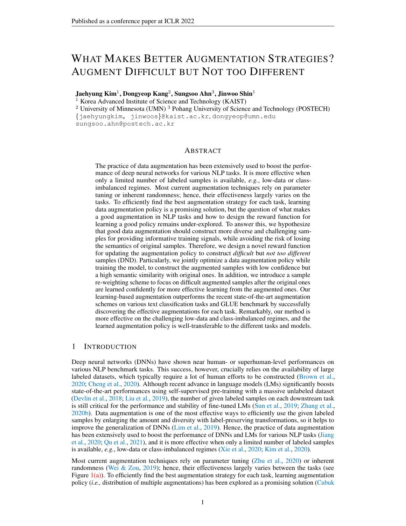

<span id="page-8-1"></span><span id="page-8-0"></span>Figure 3: Analysis about the learned augmentation policy on Review50. (a, b) Dynamics of probability and magnitude during fine-tuning, respectively. (c) Top-3 representative augmentations, discovered by our augmentation policy. Best viewed in color.

emphasize that such methods maximizing validation accuracy usually require more computations than training loss-based methods due to an inherent bi-level optimization [\(Zhang et al.,](#page-12-5) [2020c;](#page-12-5) [Hataya](#page-10-5) [et al.,](#page-10-5) [2020\)](#page-10-5); for example, LDM is 3x slower than DND under the same update frequency.

Transferability across datasets and architectures. Here, we provide additional experiments to verify the transferability of the learned policy with our method. To this end, we first save the status of the augmentation policy for each update during the training on the source data and then directly apply it to other tasks or models as dynamic augmentations. From Table [5,](#page-7-2) one can verify that the transferred augmentation outperforms the baseline augmentations and is even competitive with the performance of the jointly updated policy. Also, the learned policy could be transferred to the different models, such as BERT [\(Devlin et al.,](#page-10-1) [2018\)](#page-10-1) and ALBERT[\(Lan et al.,](#page-11-14) [2019\)](#page-11-14). These results imply that the proposed augmentation scheme would be greatly beneficial for successfully applying the data augmentation to the new task or model without the exhaustive search and update.

More analysis on learned policy. In Figure [3,](#page-8-0) we further present more analysis on the learned policy. Specifically, we focus on the parameters in the first operation  $\mathcal{O}_1$ . More detailed results can be found in Appendix [B.](#page-16-1) We first note that the probability  $p$  is dynamically changed at an early stage, which implies the exploration step is naturally occurred. After enough iterations, most of the augmentations are converged, and few candidates are only actively updated. In contrast, each augmentation's magnitude  $\mu$  is progressively updated and almost converged at the last training iterations. This stability is actually the result of our reward function for similarity, as the policy quickly diverges without this (see Appendix [B\)](#page-16-1). Interestingly, from successful guidance of the proposed reward, we observe that our augmentation policy could re-discover the previously known best composition of augmentations (which was found by exhaustive grid search). Also, it can newly discover the task-specific augmentations as shown in Figure  $3(c)$ . It reveals the reason for success from DND, along with the efficiency of this method.

# 5 CONCLUSION

We propose DND, a simple and effective augmentation learning scheme for NLP tasks. We design of a novel reward function for optimizing augmentation policy to (a) construct the difficult augmented samples for providing 'informative' signals, while (b) preserving their semantic meaning to be not too different from the original for avoiding 'wrong' signals. From the experiments, we find our augmentation method to be much effective in challenging low-data and class-imbalanced regimes. Also, the learned augmentation policy transfers well across various tasks and models. As the augmentation policy learning for NLP tasks is under-explored in the literature, we expect our work to contribute to exploring this direction of research.

Furthermore, since the proposed concept of difficult but not too different augmentation is task- and domain-agnostic, we do believe that DND would benefit in other tasks (e.g., self-supervised learning) and domains (e.g., vision and graph) as well. On the other hand, incorporating the pre-trained models for augmentation learning in different domains (e.g., SimCLR [\(Chen et al.,](#page-9-5) [2020\)](#page-9-5)) would be an interesting future direction, as the fine-tuning of such pre-trained models have shown remarkable successes recently.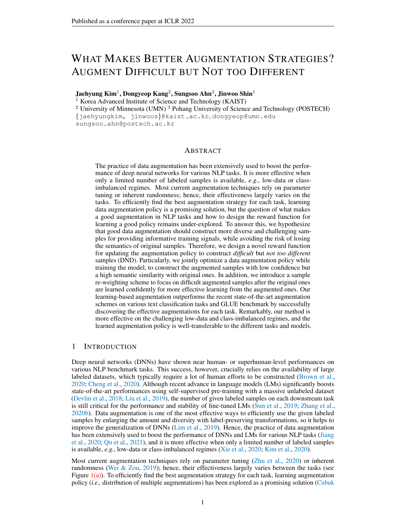## ETHICS STATEMENT

Data augmentation is generally effective for improving the performance on the target task; hence it now becomes a de-facto standard for training DNNs, in various input domains [\(Cubuk et al.,](#page-10-4) [2019;](#page-10-4) [Park et al.,](#page-11-15) [2019;](#page-11-15) [You et al.,](#page-12-14) [2020\)](#page-12-14). However, it also has a potential risk to amplify the undesirable property of the model at the same time, *e.g.,* gender bias [\(Bordia & Bowman,](#page-9-6) [2019\)](#page-9-6), since the enlarged diversity by data augmentation is proportional to the size of used samples for augmentation again. Since the practice of data augmentation is usually based on pre-defined fixed augmentations, it is hard to remove such inherency of undesirable properties explicitly.

In this respect, the learning-based augmentation scheme would be greatly beneficial, as it can easily alleviate this risk by setting the proper objective functions with respect to the desired property [\(Ziegler](#page-12-15) [et al.,](#page-12-15) [2019\)](#page-12-15). For example, one could construct the 'fair' data augmentation scheme by jointly adding the reward for fairness and task accuracy, as we have explored in this work. Hence, we believe our proposed learning-based augmentation scheme would be a step towards improving a such fairness aspect in data augmentation, especially for NLP task.

## REPRODUCIBILITY STATEMENT

We describe the implementation details of the method in Section [4.1](#page-4-0) and Appendix [A.3.](#page-15-0) Also, we provide the details of the datasets and baselines in Appendix  $A.1$  and  $A.2$ , respectively. We also provide our code in the supplementary material. All the used packages are along with the code. In our experiments, we use a single GPU (NVIDIA TITAN Xp) and 8 CPU cores (Intel Xeon E5-2630 v4).

### ACKNOWLEDGMENTS

This work was mainly supported by Institute of Information & communications Technology Planning & Evaluation (IITP) grant funded by the Korea government (MSIT) (No.2021-0-02068, Artificial Intelligence Innovation Hub; No.2019-0-00075, Artificial Intelligence Graduate School Program (KAIST)).

## **REFERENCES**

- <span id="page-9-4"></span>Armen Aghajanyan, Akshat Shrivastava, Anchit Gupta, Naman Goyal, Luke Zettlemoyer, and Sonal Gupta. Better fine-tuning by reducing representational collapse. In *International Conference on Learning Representations (ICLR)*, 2021.
- <span id="page-9-1"></span>Yoshua Bengio, Jérôme Louradour, Ronan Collobert, and Jason Weston. Curriculum learning. In *Proceedings of the International Conference on Machine Learning (ICML)*, pp. 41–48, 2009.
- <span id="page-9-2"></span>Yoshua Bengio, Nicholas Léonard, and Aaron Courville. Estimating or propagating gradients through stochastic neurons for conditional computation. *arXiv preprint arXiv:1308.3432*, 2013.
- <span id="page-9-6"></span>Shikha Bordia and Samuel R Bowman. Identifying and reducing gender bias in word-level language models. *arXiv preprint arXiv:1904.03035*, 2019.
- <span id="page-9-0"></span>Tom B Brown, Benjamin Mann, Nick Ryder, Melanie Subbiah, Jared Kaplan, Prafulla Dhariwal, Arvind Neelakantan, Pranav Shyam, Girish Sastry, Amanda Askell, et al. Language models are few-shot learners. In *Advances in Neural Information Processing Systems (NeurIPS)*, 2020.
- <span id="page-9-5"></span>Ting Chen, Simon Kornblith, Mohammad Norouzi, and Geoffrey Hinton. A simple framework for contrastive learning of visual representations. In *Proceedings of the International Conference on Machine Learning (ICML)*, pp. 1597–1607. PMLR, 2020.
- <span id="page-9-3"></span>Zhiyuan Chen and Bing Liu. Mining topics in documents: standing on the shoulders of big data. In *Proceedings of the 20th ACM SIGKDD international conference on Knowledge discovery and data mining*, pp. 1116–1125, 2014.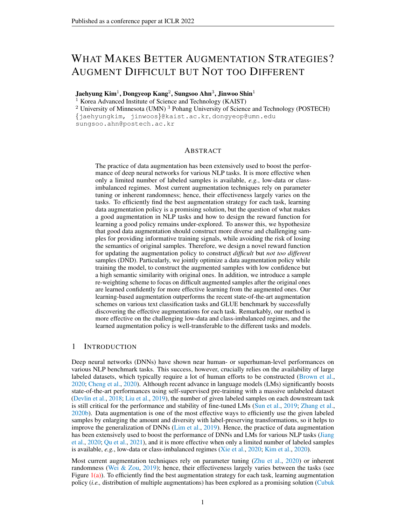- <span id="page-10-0"></span>Yong Cheng, Lu Jiang, Wolfgang Macherey, and Jacob Eisenstein. Advaug: Robust adversarial augmentation for neural machine translation. In *Annual Meeting of the Association for Computational Linguistics (ACL)*, 2020.
- <span id="page-10-4"></span>Ekin D Cubuk, Barret Zoph, Dandelion Mane, Vijay Vasudevan, and Quoc V Le. Autoaugment: Learning augmentation strategies from data. In *Conference on Computer Vision and Pattern Recognition (CVPR)*, pp. 113–123, 2019.
- <span id="page-10-16"></span>Ekin D Cubuk, Barret Zoph, Jonathon Shlens, and Quoc V Le. RandAugment: Practical automated data augmentation with a reduced search space. In *Conference on Computer Vision and Pattern Recognition (CVPR)*, pp. 702–703, 2020.
- <span id="page-10-15"></span>Yin Cui, Menglin Jia, Tsung-Yi Lin, Yang Song, and Serge Belongie. Class-balanced loss based on effective number of samples. In *Conference on Computer Vision and Pattern Recognition (CVPR)*, 2019.
- <span id="page-10-1"></span>Jacob Devlin, Ming-Wei Chang, Kenton Lee, and Kristina Toutanova. BERT: Pre-training of deep bidirectional transformers for language understanding. *arXiv preprint arXiv:1810.04805*, 2018.
- <span id="page-10-7"></span>Steven Y Feng, Varun Gangal, Jason Wei, Sarath Chandar, Soroush Vosoughi, Teruko Mitamura, and Eduard Hovy. A survey of data augmentation approaches for nlp. In *Annual Meeting of the Association for Computational Linguistics (ACL)*, 2021.
- <span id="page-10-6"></span>Siddhant Garg and Goutham Ramakrishnan. Bae: Bert-based adversarial examples for text classification. In *Conference on Empirical Methods in Natural Language Processing (EMNLP)*, 2020.
- <span id="page-10-12"></span>Chengyue Gong, Dilin Wang, Meng Li, Vikas Chandra, and Qiang Liu. Keepaugment: A simple information-preserving data augmentation approach. *arXiv preprint arXiv:2011.11778*, 2020.
- <span id="page-10-10"></span>Raphael Gontijo-Lopes, Sylvia J Smullin, Ekin D Cubuk, and Ethan Dyer. Affinity and diversity: Quantifying mechanisms of data augmentation. *arXiv preprint arXiv:2002.08973*, 2020.
- <span id="page-10-9"></span>Hongyu Guo, Yongyi Mao, and Richong Zhang. Augmenting data with mixup for sentence classification: An empirical study. *arXiv preprint arXiv:1905.08941*, 2019.
- <span id="page-10-5"></span>Ryuichiro Hataya, Jan Zdenek, Kazuki Yoshizoe, and Hideki Nakayama. Faster autoaugment: Learning augmentation strategies using backpropagation. In *International Conference on Computer Vision (ICCV)*, pp. 1–16. Springer, 2020.
- <span id="page-10-11"></span>Zhiting Hu, Bowen Tan, Ruslan Salakhutdinov, Tom Mitchell, and Eric P Xing. Learning data manipulation for augmentation and weighting. *Advances in Neural Information Processing Systems (NeurIPS)*, 2019.
- <span id="page-10-13"></span>Eric Jang, Shixiang Gu, and Ben Poole. Categorical reparameterization with gumbel-softmax. In *International Conference on Learning Representations (ICLR)*, 2017.
- <span id="page-10-2"></span>Haoming Jiang, Pengcheng He, Weizhu Chen, Xiaodong Liu, Jianfeng Gao, and Tuo Zhao. Smart: Robust and efficient fine-tuning for pre-trained natural language models through principled regularized optimization. In *Annual Meeting of the Association for Computational Linguistics (ACL)*, 2020.
- <span id="page-10-8"></span>Dongyeop Kang, Tushar Khot, Ashish Sabharwal, and Eduard Hovy. AdvEntuRe: Adversarial training for textual entailment with knowledge-guided examples. In *Proceedings of the 56th Annual Meeting of the Association for Computational Linguistics (Volume 1: Long Papers)*, pp. 2418–2428, Melbourne, Australia, July 2018. Association for Computational Linguistics. doi: 10.18653/v1/P18-1225. URL <https://www.aclweb.org/anthology/P18-1225>.
- <span id="page-10-3"></span>Jaehyung Kim, Jongheon Jeong, and Jinwoo Shin. M2m: Imbalanced classification via major-tominor translation. In *Conference on Computer Vision and Pattern Recognition (CVPR)*, 2020.
- <span id="page-10-14"></span>Diederik P Kingma and Jimmy Ba. Adam: A method for stochastic optimization. In *International Conference on Learning Representations (ICLR)*, 2015.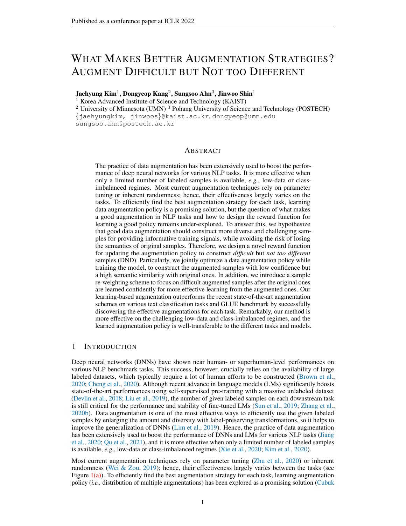- <span id="page-11-14"></span>Zhenzhong Lan, Mingda Chen, Sebastian Goodman, Kevin Gimpel, Piyush Sharma, and Radu Soricut. Albert: A lite bert for self-supervised learning of language representations. *arXiv preprint arXiv:1909.11942*, 2019.
- <span id="page-11-9"></span>Ken Lang. Newsweeder: Learning to filter netnews. In *Machine Learning Proceedings 1995*, pp. 331–339. Elsevier, 1995.
- <span id="page-11-10"></span>Stefan Larson, Anish Mahendran, Joseph J Peper, Christopher Clarke, Andrew Lee, Parker Hill, Jonathan K Kummerfeld, Kevin Leach, Michael A Laurenzano, Lingjia Tang, et al. An evaluation dataset for intent classification and out-of-scope prediction. *arXiv preprint arXiv:1909.02027*, 2019.
- <span id="page-11-13"></span>Xin Li and Dan Roth. Learning question classifiers. In *COLING 2002: The 19th International Conference on Computational Linguistics*, 2002.
- <span id="page-11-5"></span>Yonggang Li, Guosheng Hu, Yongtao Wang, Timothy Hospedales, Neil M Robertson, and Yongxin Yang. Differentiable automatic data augmentation. In *International Conference on Computer Vision (ICCV)*, pp. 580–595. Springer, 2020.
- <span id="page-11-1"></span>Sungbin Lim, Ildoo Kim, Taesup Kim, Chiheon Kim, and Sungwoong Kim. Fast autoaugment. *Advances in Neural Information Processing Systems (NeurIPS)*, 2019.
- <span id="page-11-0"></span>Yinhan Liu, Myle Ott, Naman Goyal, Jingfei Du, Mandar Joshi, Danqi Chen, Omer Levy, Mike Lewis, Luke Zettlemoyer, and Veselin Stoyanov. Roberta: A robustly optimized bert pretraining approach. *arXiv preprint arXiv:1907.11692*, 2019.
- <span id="page-11-11"></span>Andrew Maas, Raymond E Daly, Peter T Pham, Dan Huang, Andrew Y Ng, and Christopher Potts. Learning word vectors for sentiment analysis. In *Proceedings of the 49th annual meeting of the association for computational linguistics: Human language technologies*, pp. 142–150, 2011.
- <span id="page-11-4"></span>Takeru Miyato, Shin-ichi Maeda, Masanori Koyama, and Shin Ishii. Virtual adversarial training: a regularization method for supervised and semi-supervised learning. *IEEE transactions on pattern analysis and machine intelligence*, 41(8):1979–1993, 2018.
- <span id="page-11-15"></span>Daniel S Park, William Chan, Yu Zhang, Chung-Cheng Chiu, Barret Zoph, Ekin D Cubuk, and Quoc V Le. Specaugment: A simple data augmentation method for automatic speech recognition. *arXiv preprint arXiv:1904.08779*, 2019.
- <span id="page-11-2"></span>Yanru Qu, Dinghan Shen, Yelong Shen, Sandra Sajeev, Jiawei Han, and Weizhu Chen. Coda: Contrast-enhanced and diversity-promoting data augmentation for natural language understanding. In *International Conference on Learning Representations (ICLR)*, 2021.
- <span id="page-11-8"></span>Nils Reimers, Iryna Gurevych, Nils Reimers, Iryna Gurevych, Nandan Thakur, Nils Reimers, Johannes Daxenberger, and Iryna Gurevych. Sentence-bert: Sentence embeddings using siamese bert-networks. In *Conference on Empirical Methods in Natural Language Processing (EMNLP)*, 2019.
- <span id="page-11-6"></span>Shuhuai Ren, Jinchao Zhang, Lei Li, Xu Sun, and Jie Zhou. Text autoaugment: Learning compositional augmentation policy for text classification. In *Conference on Empirical Methods in Natural Language Processing (EMNLP)*, 2021.
- <span id="page-11-3"></span>Dinghan Shen, Mingzhi Zheng, Yelong Shen, Yanru Qu, and Weizhu Chen. A simple but toughto-beat data augmentation approach for natural language understanding and generation. *arXiv preprint arXiv:2009.13818*, 2020.
- <span id="page-11-7"></span>Abhinav Shrivastava, Abhinav Gupta, and Ross Girshick. Training region-based object detectors with online hard example mining. In *Conference on Computer Vision and Pattern Recognition (CVPR)*, pp. 761–769, 2016.
- <span id="page-11-12"></span>Richard Socher, Alex Perelygin, Jean Wu, Jason Chuang, Christopher D Manning, Andrew Y Ng, and Christopher Potts. Recursive deep models for semantic compositionality over a sentiment treebank. In *Conference on Empirical Methods in Natural Language Processing (EMNLP)*, pp. 1631–1642, 2013.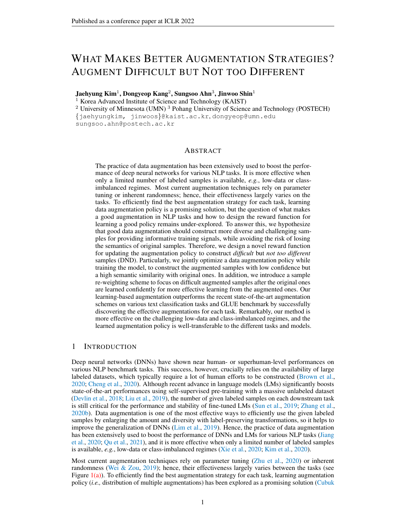- <span id="page-12-13"></span>Nitish Srivastava, Geoffrey Hinton, Alex Krizhevsky, Ilya Sutskever, and Ruslan Salakhutdinov. Dropout: a simple way to prevent neural networks from overfitting. *The journal of machine learning research*, 15(1):1929–1958, 2014.
- <span id="page-12-0"></span>Chi Sun, Xipeng Qiu, Yige Xu, and Xuanjing Huang. How to fine-tune bert for text classification? In *China National Conference on Chinese Computational Linguistics*, pp. 194–206. Springer, 2019.
- <span id="page-12-9"></span>Toan Tran, Trung Pham, Gustavo Carneiro, Lyle Palmer, and Ian Reid. A bayesian data augmentation approach for learning deep models. In *Advances in Neural Information Processing Systems (NeurIPS)*, 2017.
- <span id="page-12-7"></span>Alex Wang, Amanpreet Singh, Julian Michael, Felix Hill, Omer Levy, and Samuel R Bowman. Glue: A multi-task benchmark and analysis platform for natural language understanding. In *International Conference on Learning Representations (ICLR)*, 2019.
- <span id="page-12-6"></span>Xinyi Wang, Hieu Pham, Zihang Dai, and Graham Neubig. Switchout: an efficient data augmentation algorithm for neural machine translation. In *Conference on Empirical Methods in Natural Language Processing (EMNLP)*, 2018.
- <span id="page-12-4"></span>Jason Wei and Kai Zou. Eda: Easy data augmentation techniques for boosting performance on text classification tasks. *arXiv preprint arXiv:1901.11196*, 2019.
- <span id="page-12-11"></span>Longhui Wei, An Xiao, Lingxi Xie, Xin Chen, Xiaopeng Zhang, and Qi Tian. Circumventing outliers of autoaugment with knowledge distillation. *arXiv preprint arXiv:2003.11342*, 2(8), 2020.
- <span id="page-12-10"></span>Sen Wu, Hongyang Zhang, Gregory Valiant, and Christopher Ré. On the generalization effects of linear transformations in data augmentation. In *Proceedings of the International Conference on Machine Learning (ICML)*, pp. 10410–10420. PMLR, 2020.
- <span id="page-12-2"></span>Qizhe Xie, Zihang Dai, Eduard Hovy, Minh-Thang Luong, and Quoc V Le. Unsupervised data augmentation for consistency training. In *Advances in Neural Information Processing Systems (NeurIPS)*, 2020.
- <span id="page-12-8"></span>Mingyang Yi, Lu Hou, Lifeng Shang, Xin Jiang, Qun Liu, and Zhi-Ming Ma. Reweighting augmented samples by minimizing the maximal expected loss. In *International Conference on Learning Representations (ICLR)*, 2021.
- <span id="page-12-14"></span>Yuning You, Tianlong Chen, Yongduo Sui, Ting Chen, Zhangyang Wang, and Yang Shen. Graph contrastive learning with augmentations. In *Advances in Neural Information Processing Systems (NeurIPS)*, 2020.
- <span id="page-12-12"></span>Tianyi Zhang, Varsha Kishore, Felix Wu, Kilian Q Weinberger, and Yoav Artzi. Bertscore: Evaluating text generation with bert. In *International Conference on Learning Representations (ICLR)*, 2020a.
- <span id="page-12-1"></span>Tianyi Zhang, Felix Wu, Arzoo Katiyar, Kilian Q Weinberger, and Yoav Artzi. Revisiting few-sample bert fine-tuning. *arXiv preprint arXiv:2006.05987*, 2020b.
- <span id="page-12-5"></span>Xinyu Zhang, Qiang Wang, Jian Zhang, and Zhao Zhong. Adversarial autoaugment. In *International Conference on Learning Representations (ICLR)*, 2020c.
- <span id="page-12-3"></span>Chen Zhu, Yu Cheng, Zhe Gan, Siqi Sun, Tom Goldstein, and Jingjing Liu. Freelb: Enhanced adversarial training for natural language understanding. In *International Conference on Learning Representations (ICLR)*, 2020.
- <span id="page-12-15"></span>Daniel M Ziegler, Nisan Stiennon, Jeffrey Wu, Tom B Brown, Alec Radford, Dario Amodei, Paul Christiano, and Geoffrey Irving. Fine-tuning language models from human preferences. *arXiv preprint arXiv:1909.08593*, 2019.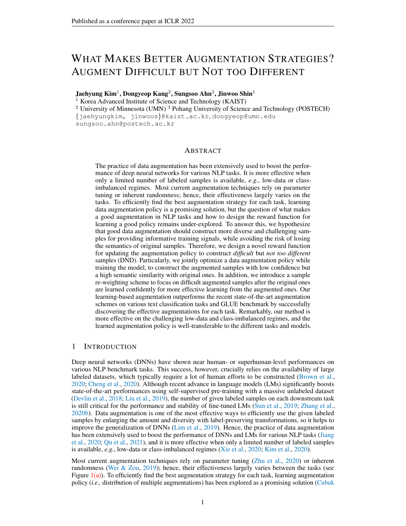# Supplementary Material

# What Makes Better Augmentation Strategies? Augment Difficult but Not too Different

# A DETAILS ON EXPERIMENTAL SETUPS

## <span id="page-13-0"></span>A.1 DATASET

Text classification task. We have used the following 6 text classification datasets in Section [4.](#page-4-1) Here, we set the maximum length of the input sentence as 128 except IMDB dataset with 512. In case of 5-shot setup, it is further limited to 256 following [\(Hu et al.,](#page-10-11) [2019\)](#page-10-11).

(1) News20 [\(Lang,](#page-11-9) [1995\)](#page-11-9) is a collection of 18,846 newsgroup documents, partitioned (nearly) evenly across 20 different newsgroups. Originally, it is given with 11,314 training samples and 7,532 test samples. News20 dataset is officially available at [http://qwone.com/˜jason/](http://qwone.com/~jason/20Newsgroups/) [20Newsgroups/](http://qwone.com/~jason/20Newsgroups/).

(2) Review50 [\(Chen & Liu,](#page-9-3) [2014\)](#page-9-3) consists of Amazon reviews of 50 classes of electrical products. Each class has 1,000 reviews and it is divided into 700 and 300 reviews for training and test samples, respectively. Review50 dataset is officially available at [https://github.com/](https://github.com/zhouyonglong/Mining-Topics-in-Documents) [zhouyonglong/Mining-Topics-in-Documents](https://github.com/zhouyonglong/Mining-Topics-in-Documents).

(3) CLINC150 [\(Larson et al.,](#page-11-10) [2019\)](#page-11-10) is a intent classification (text classification) dataset with 150 indomain intent classes. In our experiments, we use the small version of CLINC150 which is officially provided at <https://github.com/clinc/oos-eval>. Here, each of the 150 in-domain intent classes is given with 50 training, 20 validation, and 30 test samples.

(4) SST-5 [\(Socher et al.,](#page-11-12) [2013\)](#page-11-12) is a dataset for sentiment classification on movie reviews, which are annotated with five labels; very positive, positive, neutral, negative, or very negative. In the given SST-5 dataset, there are 8,544 training, 1,101 validation, and 2,210 test samples. We have used SST-5 dataset at <https://pytorch.org/text/0.8.1/datasets.html#sst>.

(5) IMDB [\(Maas et al.,](#page-11-11) [2011\)](#page-11-11) is a dataset for binary sentiment classification on movie reviews. It is composed of 25,000 labeled training samples and 25,000 test samples. We use IMDB dataset provided at <https://pytorch.org/text/0.8.1/datasets.html#imdb>.

(6) TREC [\(Li & Roth,](#page-11-13) [2002\)](#page-11-13) is a dataset for classifying the six question types, whether the question is about person, location, numeric information, and etc. There are 5,452 training samples and 500 test samples in TREC dataset at [https://pytorch.org/text/0.8.1/datasets.html#](https://pytorch.org/text/0.8.1/datasets.html#trec) [trec](https://pytorch.org/text/0.8.1/datasets.html#trec).

GLUE benchmark. GLUE [\(Wang et al.,](#page-12-7) [2019\)](#page-12-7) is composed of 8 different tasks for natural language understanding: MNLI, MRPC, STS-B, CoLA, SST-2, QNLI, QQP, and RTE. Here, we also set the maximum length of the input sentence as 128 for each task, except CoLA with 64. Here, we offer a brief summary for each task. More detailed description for each task can be checked at <https://gluebenchmark.com/tasks>.

(1) MNLI is a binary entailment task which is composed of 393k training and 20k development samples. Given a pair of sentences, the goal is to predict whether the sentence is an *entailment, contradiction,* or *neutral* with respect to another one.

(2) MRPC is a binary classification task for deciding whether the given sentence pair is semantically equivalent or not. It is composed of 3.7k training and 408 development samples.

(3) STS-B is a regression task that scores (1 to 5) the semantic similarity between two sentences given in a pair. It is composed of 7k training and 1.5k development samples.

(4) CoLA is a binary single sentence classification task, where the goal is to predict whether the given English sentence is linguistically valid or not. It is composed of 8.5k training samples and 1k development samples.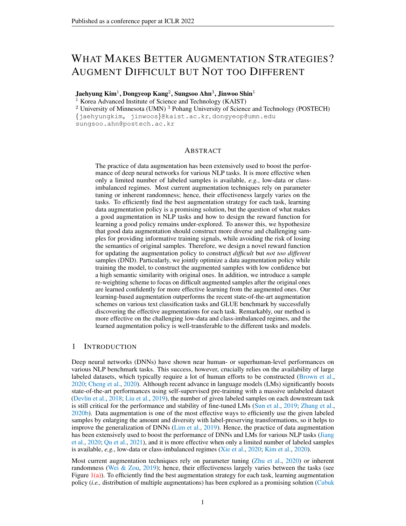(5) SST-2 is a binary single sentence classification task about movie reviews with human labels of their sentiment (*positive* or *negative*). It is composed of 67k training and 872 development samples.

(6) QNLI is a binary classification task that decides whether the given (question, sentence) pair contains the correct answer or not. It is composed of 108k training and 5.7k development samples.

(7) QQP is a binary classification task where the goal is to determine if two questions in a given pair are semantically equivalent. It is composed of 364k training and 40k development samples.

(8) RTE is a binary entailment task similar to MNLI, composed of 2.5k training and 276 development samples.

Construction of 5-shot and class-imbalanced datasets. In Section [4,](#page-4-1) we evaluate our method on 5-shot (in Table [1\)](#page-5-0) and class-imbalanced regimes (in Table [2\)](#page-6-2) which are artificially constructed from the existing benchmark datasets for text classification task. In case of 5-shot datasets, we randomly select five samples per each class to construct the datasets.

In case of class-imbalanced datasets, we consider "synthetically long-tailed" variants of SST-2, News20, and Review50 datasets in order to evaluate our algorithm under various levels of imbalance. For constructing the class-imbalanced training dataset, we assume the ordered numbers of data in each class as  $N_1 \geq \cdots \geq N_K$ . We use a single parameter  $\gamma_{\text{imb}} \geq 1$ , called the *imbalance ratio*, to control

the class-imbalance of the dataset: once  $\gamma_{\text{imb}}$  and  $N_1$  are given, we set  $N_k = N_1 \cdot \gamma_{\text{imb}} \frac{k-1}{N}$  so that  $N_1 = \gamma_{\text{imb}} \cdot N_K$  as done by [Cui et al.](#page-10-15) [\(2019\)](#page-10-15). Namely, larger  $\gamma_{\text{imb}}$  indicates more imbalanced class distribution. We use  $N_1 = 1000$  for SST-10 and  $N_1 = 400$  for News20 and Review50, respectively. For  $\gamma_{\text{imb}}$ , we use the specified numbers in Table [2.](#page-6-2)

Re-sampling with data augmentation: Following [\(Kim et al.,](#page-10-3) [2020\)](#page-10-3), we combine each data augmentation with batch-wise re-sampling, to handle the class-imbalance problem. Namely, in order to simulate the generation of  $N_1 - N_k$  samples for any  $k = 1, 2, \dots, K$ , we perform the data augmentation with probability  $\frac{N_1 N_{y_i}}{N_1}$ , for all i in a given class-balanced mini-batch  $\mathcal{B} = \{(x_i, y_i)\}.$ 

#### <span id="page-14-0"></span>A.2 BASELINES

(1) EDA [\(Wei & Zou,](#page-12-4) [2019\)](#page-12-4): Our implementation of EDA is based on the official implementation by the author at <https://https://github.com/jasonwei20>. 4 operations in EDA (synonym replacement, random insertion, random swap, random deletion) is randomly applied for each word with a probability  $p_{\text{eda}}$ , which is selected among  $\{0.15, 0.3, 0.45\}$ .

(2) Adversarial [\(Zhu et al.,](#page-12-3) [2020\)](#page-12-3): We choose hyper-parameter  $\delta$  for the norm constraint of adversarial perturbation among {0.1, 0.2, 0.3} based on its performance on the validation dataset. We construct the adversarial example with a single step update under  $\ell_2$  norm.

(3) BERT-aug [\(Yi et al.,](#page-12-8) [2021\)](#page-12-8): Each token is randomly masked with a probability  $p_{\text{max}}$  and the masked token is replaced by the most likely token based on the output of pre-trained BERT model (<https://github.com/makcedward/nlpaug>).  $p_{\text{mask}}$  is tuned among  $\{0.15, 0.3, 0.45\}$ .

(4) Cutoff [\(Shen et al.,](#page-11-3) [2020\)](#page-11-3): We choose hyper-parameter  $\alpha$  for cutoff ratio among {0.1, 0.2, 0.3} based on its performance on the validation dataset. It is observable that the dataset with shorter length usually benefit from the smaller value, and larger  $\alpha$  is better for dataset with longer length. We adopt the official code at <https://github.com/dinghanshen/Cutoff> .

(5) R3F [\(Aghajanyan et al.,](#page-9-4) [2021\)](#page-9-4): We sample the noise  $\epsilon$  from the uniform distribution  $\mathcal{U} = [0, 1]$ 1e-5], then it is added to the word embedding to construct the augmented samples. Unlike other augmentation, the consistency loss is used for training. The official code is available at [https:](https://github.com/pytorch/fairseq) [//github.com/pytorch/fairseq](https://github.com/pytorch/fairseq).

(6) MixUp [\(Guo et al.,](#page-10-9) [2019\)](#page-10-9): We adopt wordMixUp that mix two different sentences on their word embeddings. We use the hyper-parameter  $\alpha_{\text{mix}}$  of mixing policy among {0.5, 1.0, 2.0}, which decides the mixing ratio  $\lambda_{\text{mix}}$  where  $\lambda_{\text{mix}} \sim \text{Beta}(\alpha_{\text{mix}}, \alpha_{\text{mix}})$ .

(7) Back-trans [\(Xie et al.,](#page-12-2) [2020\)](#page-12-2): We use the en-de and de-en single models trained on WMT19 and they are available at <https://github.com/pytorch/fairseq>. We use the default setups: beam search with beam size 5, and keeping only top-1 hypothesis.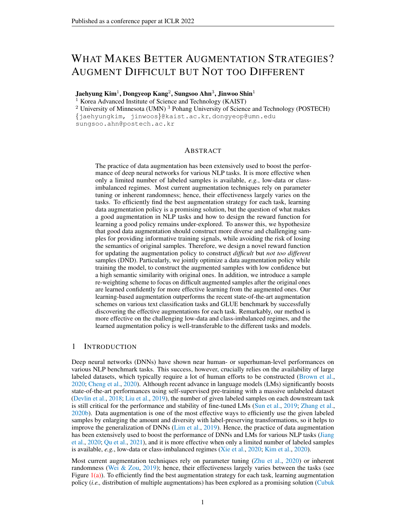(8) Back&Adv [\(Qu et al.,](#page-11-2) [2021\)](#page-11-2): After Back-translation is applied to the original sample, adversarial perturbation is further added to its word embedding. Here, we choose hyper-parameter  $\delta$  for the norm constraint of adversarial perturbation among  $\{0.1, 0.2, 0.3\}$  based on its performance on the validation dataset.

## <span id="page-15-0"></span>A.3 DND

For learning data augmentation via proposed DND, we use the following data augmentation pool: Cutoff [\(Shen et al.,](#page-11-3) [2020\)](#page-11-3), Back-translation [\(Xie et al.,](#page-12-2) [2020\)](#page-12-2), BERT-aug [\(Yi et al.,](#page-12-8) [2021\)](#page-12-8), Adversarial [\(Zhu et al.,](#page-12-3) [2020\)](#page-12-3), EDA [\(Wei & Zou,](#page-12-4) [2019\)](#page-12-4) and random noise (used in R3F [\(Aghajanyan et al.,](#page-9-4) [2021\)](#page-9-4)). Here, we exclude MixUp in the augmentation pool because it synthesizes a completely new sample by mixing two original samples. Hence, it is not clear whether it is meaningful to keep the similarity between original and augmented samples, which is the key component of DND. Except for MixUp, we think any other augmentations can be in our augmentation pool. Also, although both BERT-aug and EDA have their own magnitude, we do not update these magnitudes, as it incurs the computational burden from the additional inference of external model (e.g., BERT) for each training iteration. Instead, we adopt the common practice in text augmentations [\(Wei & Zou,](#page-12-4) [2019;](#page-12-4) [Yi et al.,](#page-12-8) [2021;](#page-12-8) [Qu et al.,](#page-11-2) [2021\)](#page-11-2), which generate the augmented sentences using the pre-determined magnitude before training the model, similar to the case of Back-trans. Hence, we only optimize the probability parameters for those word-level augmentations (BERT-aug, Back-trans, and EDA).

With this augmentation pool, our data augmentation is composed with  $T = 2$  consecutive augmentations by finding their optimal probability and magnitude  $p$  and , respectively. Since the word-level augmentations (BERT-aug, Back-trans, and EDA) can't be applied after the embedding-level augmentations are applied, we limit the search space of  $\mathcal{O}_2$  to the embedding-level augmentations. Also, to construct more diverse augmentations, we simultaneously train 4 augmentation policies by randomly selecting the one of them for each mini-batch. Also, we empirically observed that the training of augmentation policy can be improved by introducing the auxiliary operation [\(Hataya et al.,](#page-10-5) [2020;](#page-10-5) [Li et al.,](#page-11-5) [2020\)](#page-11-5) that decides whether to apply the selected augmentation or not, after sampling the augmentation from  $p^3$  $p^3$ . Hence, we adopt this operation for training augmentation policy, but it is not necessary for the augmentation learning. Finally, we remark that other training losses for augmented samples, such as consistency loss [\(Jiang et al.,](#page-10-2) [2020;](#page-10-2) [Xie et al.,](#page-12-2) [2020\)](#page-12-2) or contrastive loss [\(Qu et al.,](#page-11-2) [2021\)](#page-11-2), can be used for training the model ( $\mathcal{L}_{task}$ ) and the augmentation policy ( $\mathcal{R}_{task}$ ), although we have used the most simplest cross-entropy loss, *i.e.*,  $\mathcal{L}_{task} = \ell_{xe}$ , to focus on the effect of augmentation itself.

<span id="page-15-1"></span><sup>&</sup>lt;sup>3</sup>This operation is originally modeled by Bernoulli distribution, but can be approximated with Relaxed Bernoulli distribution as done in [\(Hataya et al.,](#page-10-5) [2020;](#page-10-5) [Li et al.,](#page-11-5) [2020\)](#page-11-5)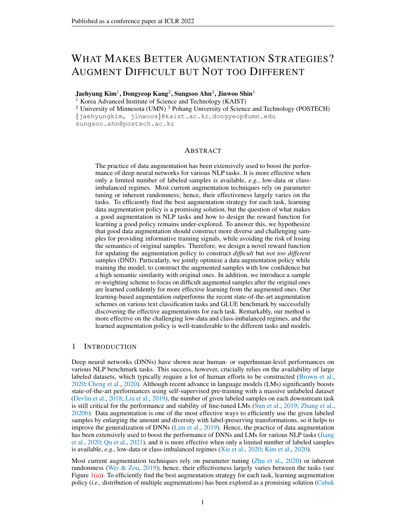# <span id="page-16-1"></span>B MORE ANALYSIS ON LEARNED AUGMENTATION POLICY

In this section, we further provide the dynamics of learned augmentation policies with respect to probability  $p$  and magnitude under two reward functions: (1) *Difficult*, which was defined in Section [4.3,](#page-7-0) and (2) Difficult, but not too Different (Ours). As we have partially shown in Section [4.3,](#page-7-0) our reward function successfully guides the policy to learn the effective augmentation with progressive and steady updates on the parameters (in Figure [4\)](#page-16-2). In contrast, as one can see in Figure [5,](#page-16-3) rewarding the augmentation policy just to maximize the training loss would mislead policy to generate samples that are semantically meaningless, *e.g.,* out-of-distribution samples or samples losing the characteristics of the target label y. Specifically, in Figure  $5(b)$ , one can actually see evidence for this; the size of adversarial perturbation becomes too large. Hence, this empirical observation again shows the importance of proper reward function to update augmentation policy and the validity of the proposed components in DND (maximizing semantic similarity and re-weighting scheme).



Figure 4: Dynamics of learned augmentation policy via DND.

<span id="page-16-2"></span>

<span id="page-16-3"></span><span id="page-16-0"></span>Figure 5: Dynamics of learned augmentation policy via *Difficult*.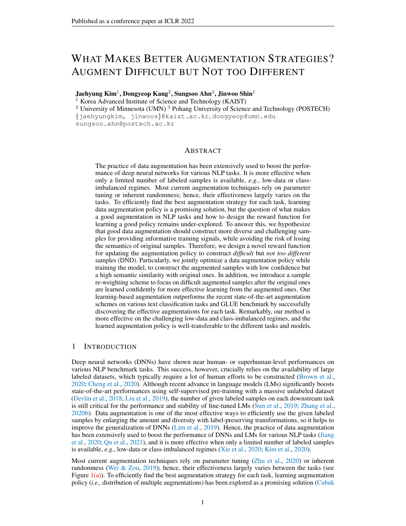# <span id="page-17-0"></span>C COMPLEMENTARY RESULTS ON GLUE BENCHMARK

In this section, we provide the complementary results of GLUE benchmark [\(Wang et al.,](#page-12-7) [2019\)](#page-12-7). First, Table [6](#page-17-1) shows the results on the development set including the standard deviation across 3 random seeds, have omitted for better presentation of the experimental results. Next, we also validate the effectiveness of ours method by comparing it with vanilla on the test set, which is available at <https://gluebenchmark.com/submit>. As shown in Table [7,](#page-17-2) ours improves the performance of vanilla classifier in most cases.

<span id="page-17-1"></span>Table 6: Evaluation results of vanilla (RoBERTa) classifiers with the GLUE development set after fine-tuning with each data augmentation method on the given task. All the values and error bars are mean and standard deviation across 3 random seeds. The best and the second best results are indicated in bold and underline, respectively.

| Method<br>(Metrics) | <b>RTE</b><br>(Acc) | <b>MRPC</b><br>(Acc) | STS-B<br>(P/S)        | CoLA<br>(Mcc) | $SST-2$<br>(Acc) | QNLI<br>(Acc) | QQP<br>(Acc/F1)       | MNLI-m/mm<br>(Acc)    |
|---------------------|---------------------|----------------------|-----------------------|---------------|------------------|---------------|-----------------------|-----------------------|
| Vanilla             | 79.4                | 89.62                | 90.72/90.42           | 62.2          | 94.46            | 92.64         | 90.87/88.17           | 87.34/86.85           |
|                     | $\pm 1.03$          | $\pm 0.42$           | $\pm 0.12 / \pm 0.15$ | $\pm 1.27$    | $\pm 0.14$       | $\pm 0.07$    | $\pm 0.03 / \pm 0.07$ | $\pm 0.08 / \pm 0.06$ |
| <b>EDA</b>          | 77.8                | 90.03                | 90.14/89.92           | 55.8          | 94.96            | 92.56         | 91.41/88.50           | 87.46/87.31           |
|                     | $\pm 0.74$          | $\pm 0.12$           | $\pm 0.13 / \pm 0.12$ | $\pm 1.29$    | $\pm 0.07$       | $\pm 0.12$    | $\pm 0.10 / \pm 0.20$ | $\pm 0.01/\pm 0.17$   |
| Adversarial         | 80.5                | 91.00                | 91.08/90.68           | 63.5          | 94.88            | 93.18         | 91.50/88.58           | 87.91/87.84           |
|                     | $\pm 0.74$          | $\pm 0.31$           | $\pm 0.08 / \pm 0.04$ | $\pm 0.62$    | $\pm 0.21$       | $\pm 0.11$    | $\pm 0.01/\pm 0.15$   | $\pm 0.02 / \pm 0.14$ |
| BERT-aug            | 79.6                | 90.11                | 89.47/89.35           | 61.2          | 94.27            | 92.95         | 91.07/88.27           | 87.73/87.25           |
|                     | $\pm 1.28$          | $\pm 0.70$           | $\pm 0.25 / \pm 0.33$ | $\pm 1.25$    | $\pm 0.28$       | $\pm 0.13$    | $\pm 0.03 / \pm 0.12$ | $\pm 0.19 / \pm 0.02$ |
| Cutoff              | 78.0                | 91.01                | 90.53/90.27           | 64.0          | 94.42            | 92.84         | 91.13/88.27           | 87.22/87.22           |
|                     | $\pm 0.76$          | $\pm 0.51$           | $\pm 0.29 / \pm 0.23$ | $\pm 1.27$    | $\pm 0.22$       | $\pm 0.03$    | $\pm 0.02 / \pm 0.08$ | $\pm 0.05 / \pm 0.02$ |
| R3F                 | 79.7                | 90.69                | 90.77/90.56           | 64.6          | 94.95            | 93.06         | 91.30/88.54           | 87.97/87.66           |
|                     | $\pm 1.18$          | $\pm 0.35$           | $\pm 0.08 / \pm 0.06$ | $\pm 0.45$    | $\pm 0.06$       | $\pm 0.01$    | $\pm 0.01/\pm 0.07$   | $\pm 0.28 / \pm 0.27$ |
| MixUp               | 79.8                | 90.08                | 90.46/90.16           | 64.3          | 94.50            | 92.69         | 90.98/88.06           | 87.50/87.02           |
|                     | $\pm 0.72$          | $\pm 0.62$           | $\pm 0.16 / \pm 0.16$ | $\pm 0.83$    | $\pm 0.28$       | $\pm 0.14$    | $\pm 0.05 / \pm 0.03$ | $\pm 0.07 / \pm 0.05$ |
| Back-trans          | 79.9                | 90.20                | 90.54/90.33           | 58.8          | 94.53            | 92.64         | 90.82/88.05           | 87.50/87.06           |
|                     | $\pm 0.90$          | $\pm 0.20$           | $\pm 0.12 / \pm 0.17$ | $\pm 1.05$    | $\pm 0.20$       | $\pm 0.21$    | $\pm 0.02 / \pm 0.01$ | $\pm 0.10 / \pm 0.12$ |
| Back&Adv            | 80.9                | 90.69                | 90.61/90.33           | 59.5          | 95.01            | 93.07         | 91.29/88.49           | 87.73/87.53           |
|                     | $\pm 1.03$          | $\pm 0.53$           | $\pm 0.07 / \pm 0.05$ | $\pm 1.01$    | $\pm 0.06$       | $\pm 0.14$    | $\pm 0.01/\pm 0.03$   | $\pm 0.13 / \pm 0.12$ |
| Ours                | 81.5                | 91.18                | 90.78/90.49           | 65.0          | 95.30            | 93.48         | 91.85/89.00           | 88.21/88.12           |
|                     | $\pm 0.87$          | $\pm 0.12$           | $\pm 0.04 / \pm 0.02$ | $\pm 0.25$    | $\pm 0.12$       | $\pm 0.12$    | $\pm 0.05 / \pm 0.07$ | $\pm 0.12 / \pm 0.08$ |

<span id="page-17-2"></span>Table 7: Evaluation results of vanilla (RoBERTa) classifiers with the GLUE test set after fine-tuning with each data augmentation method on the given task. For evaluation, we submit the prediction averaged across 3 random seeds. The better results are indicated in bold.

|               | Method RTE MRPC STS-B CoLA SST-2 ONLI OOP<br>(Metrics) $(Acc)$ $(Acc)$ $(P/S)$ $(Mcc)$ $(Acc)$ $(Acc)$ $(Acc)$ $(Acc)$ $(Acc)$ |      |                                       | MNLI-m/mm<br>(Acc)     |
|---------------|--------------------------------------------------------------------------------------------------------------------------------|------|---------------------------------------|------------------------|
| Ours   $74.0$ | Vanilla   72.4 87.1 <b>88.9/88.2</b> 58.8<br>87.7 88.6/87.8 60.1                                                               | 95.3 | 94.8 92.3 89.6/71.8<br>93.3 89.7/72.8 | 86.9/86.4<br>87.9/87.2 |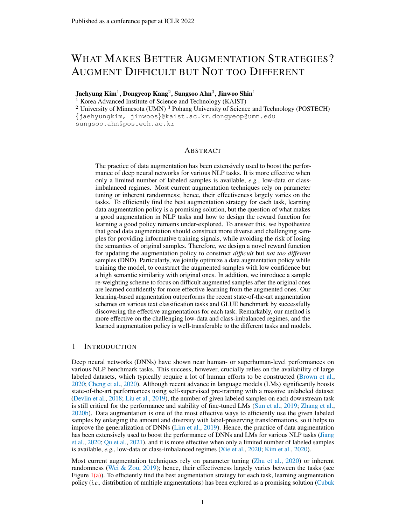## <span id="page-18-0"></span>D MORE QUALITATIVE RESULTS

Difficult, but not different samples. In this section, to further verify whether the augmented samples with the desired property are constructed from the learned policy, we construct the augmented samples using each augmentation method and compare the average difficulty and similarity in Figure  $6(a)$ . We observe that the augmented samples from our augmentation policy actually have a desired property: they show significantly low confidence, *i.e.*, more difficult, while it moderately preserves the semantic of original samples. Furthermore, we present the augmented samples from BERT-aug by varying the difficulty and similarity in Figure [6\(b\).](#page-18-2) Here, one can verify that the *difficulty* is solely not enough as too many changes can alter its semantic. Also, the *similarity* is solely not enough as it tends to construct too easy samples which can't provide 'informative' signals to the training model. However, by considering two aspects jointly, reasonable and effective augmented samples can be constructed. More qualitative results are presented in Figure [8.](#page-19-1) Also, the plot of augmented samples by each augmentation scheme is presented in Figure [7.](#page-18-3)

<span id="page-18-1"></span>

<span id="page-18-2"></span>Figure 6: Qualitative results of difficult, but not too different samples; (a) Average *difficulty* (difficulty ↑ = confidence ↓) and *similarity* of the augmented samples under each augmentation method on News20. (b) Real examples on Review50. Different criteria are used for the selection, and two most salient words of original sentence are remarked in **bold**. Critically altered words are colored in **red.** Here,  $p$  and  $s$  represent the confidence and similarity, respectively. Best viewed in color.



<span id="page-18-3"></span>Figure 7: Difficulty (difficulty  $\uparrow$  = confidence  $\downarrow$ ) and similarity of the augmented samples under each augmentation method on Review50. For the better visualization, 250 training examples are randomly selected and then augmented.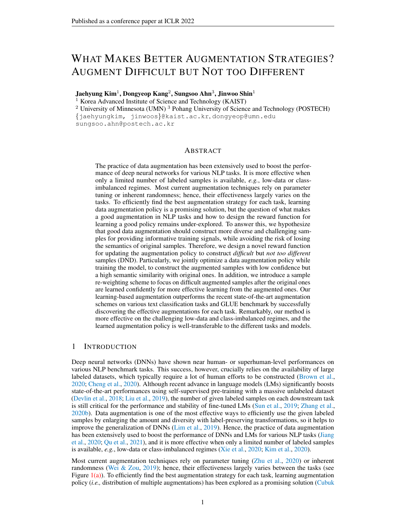|                    | $(p: 0.99, s: 1.00)$ together. N95 8GB eat your heart out!                                           |
|--------------------|------------------------------------------------------------------------------------------------------|
|                    | Difficult Everything seems to work fine, the closest SDHC chips I have is my N82 but they work great |
|                    | & Different together. N95 can eat your brain out!                                                    |
| (p: 0.01, s: 0.20) |                                                                                                      |
|                    | Easy Everything seems to work fine, the only SDHC card I have is an N82 where they work great        |
|                    | & not Different together. You 8GB eat your heart alive!                                              |
| (p: 0.99, s: 0.91) |                                                                                                      |
|                    | Difficult Everything continues to be fine, the best SDHC device I have is my N82 and you work great  |
|                    | & not Different together. N95 8GB eat your brain out!                                                |
| (p: 0.54, s: 0.76) |                                                                                                      |

Original Everything seems to work fine, the only **SDHC device** I have is my N82 and they work great

#### **Label: "Memory Card"**

|                               | Original   I am using this card in my new build and it works flawlessly. I love ASUS products anyway,<br>$(p: 0.97, s: 1.00)$ and this has not disappointed. I highly recommend this card if you are looking for a wireless<br>adapter.                                                                                                                                                                                                  |
|-------------------------------|------------------------------------------------------------------------------------------------------------------------------------------------------------------------------------------------------------------------------------------------------------------------------------------------------------------------------------------------------------------------------------------------------------------------------------------|
| $(p: 0.00, s: 0.82)$ phone.   | Difficult   I am using one card in my new build but it works flawlessly. I love ASUS products anyway,<br>& Different also this has not disappointed. I highly recommend this card when you are looking for a play                                                                                                                                                                                                                        |
| $(p: 0.98, s: 0.96)$ adapter. | Easy I am using this chip in a new build so it works flawlessly. I love ASUS products anyway, and<br>& not Different this child not disappointed. I highly recommend a board if you are looking for a wireless                                                                                                                                                                                                                           |
| $(p: 0.66, s: 0.96)$ adapter. | Difficult   I am using this card in my new build and it operates flawlessly. I love ASUS as well, and this<br>& not Different has not disappointed. Should highly recommend this card if you are pick up a wireless                                                                                                                                                                                                                      |
|                               | Label: "Memory Card"                                                                                                                                                                                                                                                                                                                                                                                                                     |
|                               | Original When I bought this product I didn't read -LRB- and I'm pretty sure it wasn't clarified anywhere<br>$(p: 0.99, s: 1.00)$ -RRB- that this remote wouldn't work in my Nikon D3100. So, I haven't been able to test it.                                                                                                                                                                                                             |
|                               | Difficult When when bought my product I didn't read -LRB- and I'b pretty sure it wouldn't looking<br>& Different anywhere -RRB- that this <b>product</b> wouldn't work in my Nikon d3100. So, I shouldn't been<br>$(p: 0.01, s: 0.79)$ able to test myself.                                                                                                                                                                              |
| $(p: 0.99, s: 0.95)$ test it. | Easy When I sold this product I didn't read -but- and I'm pretty sure script wasn't clarified anywhere<br>& not Different  -RRB- that this remote wouldn't work against my Nikon d3100. So, I haven's got allowed to                                                                                                                                                                                                                     |
| (p: 0.59, s: 0.96)            | Difficult Until I bought this thing I didn't read -LRB- and I'm pretty sure it wasn't clarified anywhere -<br>& not Different RRB- that phone remote wouldn't appear in my new d3100. So, I haven't been able to test it.                                                                                                                                                                                                                |
|                               | Label: "Remote Control"                                                                                                                                                                                                                                                                                                                                                                                                                  |
|                               | Original I have two of these systems, bought one for work and one for home. They work great. Yes,<br>$(p: 0.99, s: 1.00)$ one of them had the same trouble as you may read in some comments. I found if you eject<br>the disks before you shut it off, they never get stuck in it. the one machine where they did get<br>stuck, I unplugged it for two days and plugged it back in and it spit out the cd.                               |
|                               | Difficult I have two of these discs, bought one for work and other for rent. Things were great. Yes,<br>& Different one of them had the biggest trouble with you may read in some records. But found if you eject<br>$(p: 0.03, s: 0.90)$ the disks before you shut it off, they never get stuck in it. at one machine where they did get<br>lost, I unplugged it for five days and plugged it back in and it spit out the tape.         |
|                               | Easy He released two of these systems, bought one for businesses and one for home. They work<br>& not Different great. Yes, one of them had those same trouble as you may add in some comments. I found if<br>$(p: 0.99, s: 0.96)$ you heard the disks before you got it on, they never get stuck in them. the one machine<br>where they did were caught, I unplugged it for two days only plugged it back in and it blew out<br>the cd. |

Difficult |I edited two of his systems, bought one for work and one from home. They work great. Yes, & *not Different* one of them had the same trouble like you may read or some comments. We found if you (*p*: 0.69, *s*: 0.94) tried three disks before you shut it off, they all get stuck in it. if one machine where it did became stuck, I unplugged it for two days to plugged it back in and it spit out the cd.



<span id="page-19-1"></span><span id="page-19-0"></span>Figure 8: Examples of augmented samples on Review50 [\(Chen & Liu,](#page-9-3) [2014\)](#page-9-3). Different criteria are used for the selection, and three most salient words of original sentence are remarked in bold. Critically altered words are colored in **red**. Here,  $p$  and  $s$  represent the confidence and similarity, respectively.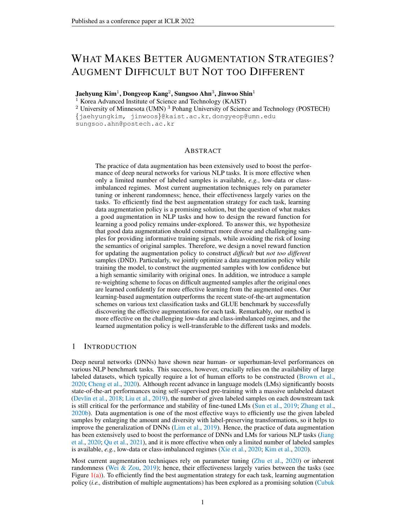# E MORE QUANTITATIVE RESULTS

In this section, we present more quantitative results about the proposed DND. Here, all experiments are conducted on News20 [\(Lang,](#page-11-9) [1995\)](#page-11-9) dataset. Also, all the values and error bars are mean and standard deviation across 3 random seeds. The best result is indicated in bold.

<span id="page-20-0"></span>Table 8: Experimental results to verify the compatibility among different language models. Test accuracy of specified classifiers after fine-tuning across various data augmentations are compared.

|             | Method   RoBERTa-large |              | BERT-base ALBERT-base |
|-------------|------------------------|--------------|-----------------------|
| Vanilla     | $83.53$ 0.57           | 83.44 0.30   | 78.79 0.73            |
| Adversarial | $84.14$ 0.26           | $84.55$ 0.09 | 79.73 008             |
| Cutoff      | $85.09$ 0.14           | 85.49 0.35   | 79.66 0.94            |
| R3F         | 84.58 0.13             | 84.53 0.17   | 78.99 0.08            |
| <b>Ours</b> | $85.79$ 0.25           | $85.93$ 0.48 | $80.42$ 0.36          |

Compatibility of DND about model choice. In Section [4,](#page-4-1) we mainly conduct experiments with RoBERTa-base[\(Liu et al.,](#page-11-0) [2019\)](#page-11-0) model. Hence, to verify the compatibility of DND about model choice, we further provide the experimental results under the different choice of pre-trained language models: RoBERTa-large [\(Liu et al.,](#page-11-0) [2019\)](#page-11-0), BERT-base [\(Devlin et al.,](#page-10-1) [2018\)](#page-10-1), and ALBERT-base [\(Lan](#page-11-14) [et al.,](#page-11-14) [2019\)](#page-11-14). RoBERTa-large has 24 Transformer blocks with 1024 hidden size and 16 self-attention heads (total parameters=340M). BERT-base has the same architecture with RoBERTa-base (12 blocks with 768 hidden size and 12 self-attention heads, hence 110M total parameters), but it's pre-trained in a different way. ALBERT-base had an identical architecture with BERT-base except 128 hidden size (total parameters=12M). In overall, the model size has following order: RoBERTa-large  $>$ RoBERTa-base = BERT-base > ALBERT-base. In Table [8,](#page-20-0) we compare DND with the following 3 augmentations that are top-3 baselines in Table [1:](#page-5-0) Adversarial [\(Zhu et al.,](#page-12-3) [2020\)](#page-12-3), Cutoff [\(Shen et al.,](#page-11-3) [2020\)](#page-11-3), and R3F [\(Aghajanyan et al.,](#page-9-4) [2021\)](#page-9-4). Here, DND outperforms all baselines and it shows that DND successfully learns the effective data augmentation regardless of the model choice.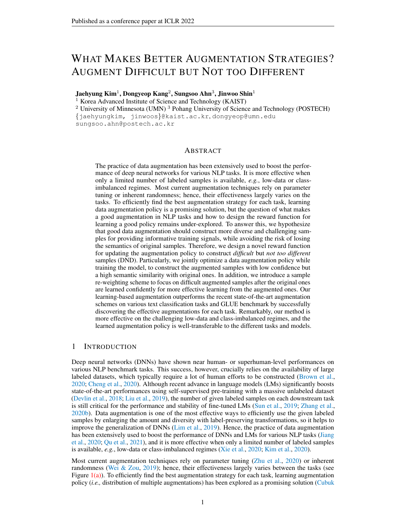

Figure 9: Accuracy of  $g_W$  (Eq. [3\)](#page-3-5) across train- Figure 10: Accuracy of word reconstruction (Eq. for better visualization.

<span id="page-21-3"></span><span id="page-21-1"></span>ing iterations on News50 and Review50 datasets. [5\)](#page-3-4) across training iterations on Review 50 dataset. Here, we only report the results during one epoch Here, we only report the results during one epoch for better visualization.

## <span id="page-21-0"></span>F DETAILED ANALYSIS ON EXTRA LOSSES

In this section, we provide the detailed analysis on two extra losses  $\mathcal{L}_{\text{sim}}$  (Eq. [4\)](#page-3-3) and  $\mathcal{L}_{\text{recon}}$  (Eq. [5\)](#page-3-4) used when training the model, especially to investigate the following:

- For  $\mathcal{L}_{\text{sim}}$  (and  $\mathcal{R}_{\text{sim}}$ ), using  $g_W$  with MLP is better than simpler choices such as cosinesimilarity or  $\ell_2$  distance?
- What is the contribution of  $\mathcal{L}_{recon}$  in DND?

We remark that  $\mathcal{L}_{\text{sin}}$  is introduced to train the linear classifier  $g_W$ , which is used for rewarding not too different samples with  $\mathcal{R}_{\text{Sim}}$  (Eq. [2\)](#page-3-6).  $\mathcal{L}_{\text{recon}}$  is introduced to preserve the original semantics of input token, as the quality of contextualized output embedding is critical for our algorithm. Here, all experiments are conducted on News20 [\(Lang,](#page-11-9) [1995\)](#page-11-9) and Review50 [\(Chen & Liu,](#page-9-3) [2014\)](#page-9-3) datasets. Also, all the values and error bars are mean and standard deviation across three random seeds. The best is indicated in bold.

Discussions with simpler choices for similarity loss. Although other simpler choices, such as cosine-similarity or  $\ell_2$  distance on the output embeddings, are considerable as the similarity loss, using MLP allows a better trade-off between the original task performance and learning the similarity between the embeddings. Namely, the simpler choices could over-regularize the output embedding and result in an underfitting for the target task. However, by leveraging MLP, more information for the target task can be formed and maintained in the output embeddings. Hence,  $g_W$  with MLP can get properly trained during the fine-tuning for the target task, even with a small number of training iterations. For example, on Review50 dataset, we empirically observed that  $g_W$  achieves 98.1% accuracy only after one epoch of training, as shown in Figure [9.](#page-21-1) To empirically validate this intuition, we conduct the following experiments with DND using 1) cosine similarity and 2)  $\ell_2$ distance between  $m_1$  and  $m_2$ , instead of using MLP. As shown in the Table [9,](#page-21-2) the performance with the simpler choices actually decreases compared to using MLP. We also remark that the effectiveness of MLP for measuring the similarity on the embeddings has been demonstrated in the other context as well, e.g., SimCLR [\(Chen et al.,](#page-9-5) [2020\)](#page-9-5).

<span id="page-21-2"></span>Table 9: Ablation study on different choices for similarity loss.

|          | Dataset   Cosine similarity $\ell_2$ distance |            | <b>MLP</b>        |  |
|----------|-----------------------------------------------|------------|-------------------|--|
| News20   | $84.42$ 0.10                                  | 83.99 0.29 | $85.19$ 0.35      |  |
| Review50 | $74.04$ 0.07                                  | 73.81 0.17 | <b>74.87</b> 0.17 |  |

More intuition and effect of reconstruction loss. First, we present a more detailed description how reconstruction loss works. Input token  $x \in \{0,1\}^V$  is a  $\bar{V}$ -dimensional one-hot vector with a vocabulary size  $V$ .  $V \in \mathbb{R}^V$  d is the word embeddings matrix of pre-trained transformer model that maps x to d-dimensional input embeddings  $z \in \mathbb{R}^d$ . This z is feed-forwarded to the remaining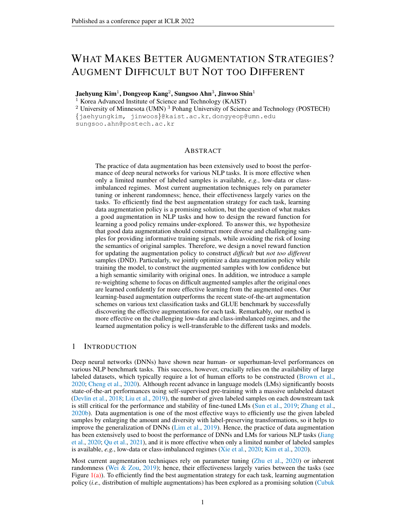parts of the transformer (e.g., self-attention blocks) and the corresponding output embeddings is  $o \in \mathbb{R}^d$ . Hence, the resulting word reconstruction loss can be formulated as  $\ell_{xe}(p_V(o), x)$  (Eq. [5\)](#page-3-4) where  $p_V(o)$  = Softmax $(oV^>)$ . Namely, it is predicting one-hot label (given by input token x) from the dot product of output embeddings  $o$  and word embedding matrix  $V$ .

Intuitively, reconstruction loss  $\mathcal{L}_{\text{recon}}$  effectively preserves the information within output embeddings learned through the pre-training phase; hence, it could provide a better output embedding. We empirically observed that the word reconstruction (i.e., prediction) from output embeddings becomes impossible as the model is fine-tuned in the target task (See Figure  $10$ ). We remark that this word reconstruction was almost perfectly possible before the fine-tuning, as the language model is pretrained using a similar reconstruction loss (e.g., masked token prediction in BERT). Thus, this observation implies that this semantic information is lost. Our reconstruction loss effectively prevents such information loss and improves the quality of output embeddings. To empirically demonstrate the effectiveness of this term, we further provide the experimental results of DND without reconstruction loss (i.e.,  $\lambda_r = 0$ ). As shown in Table [10,](#page-22-0) the reconstruction loss clearly improves the performance of DND by providing better output embeddings.

<span id="page-22-0"></span>Table 10: Ablation study on the effect of reconstruction loss

|                                          | Dataset $\lambda_r = 0$ | $\lambda_r = 0.05$         |
|------------------------------------------|-------------------------|----------------------------|
| News20 84.88 0.19<br>Review50 74.52 0.03 |                         | 85.19 0.35<br>$74.87$ 0.17 |

**Effect of extra losses.** While the extra losses  $\mathcal{L}_{\text{Sim}}$  (Eq. [4\)](#page-3-3) and  $\mathcal{L}_{\text{recon}}$  (Eq. [5\)](#page-3-4) are introduced for updating policy with DND, these losses could contribute to the learning of better representations and lead to the improvement themselves. To verify this, we conduct the additional experiments about these auxiliary losses. Here, when each loss is applied, the fixed coefficients are used: 1 for  $\mathcal{L}_{\text{Si} \, \text{m}}$  and 0.05 for  $\mathcal{L}_{\text{recon}}$ . In Table [11,](#page-22-1) it is verified that each of the proposed losses could improve the performance contributing to the learning of better representations, and two auxiliary losses are complementary to each other.

<span id="page-22-1"></span>

|            |  |                                                                                                                                                    | Dataset $\mathcal{L}_{\text{sim}}$ $\mathcal{L}_{\text{recon}}$ Cutoff Back-translation Adversarial |              |
|------------|--|----------------------------------------------------------------------------------------------------------------------------------------------------|-----------------------------------------------------------------------------------------------------|--------------|
| $News20$ - |  | $\begin{array}{c cc}\n\cdot & 83.36 & 0.41 \\ \hline\n\cdot & 83.74 & 0.42 \\ \checkmark & 83.52 & 0.13 \\ \checkmark & 84.06 & 0.19\n\end{array}$ | 82.57 0.60                                                                                          | 83.37 0.23   |
|            |  |                                                                                                                                                    | 82.77 0.49                                                                                          | $83.63$ 0.15 |
|            |  |                                                                                                                                                    | 82.86 0.47                                                                                          | 83.44 0.08   |
|            |  |                                                                                                                                                    | 83.01 0.23                                                                                          | 83.79 0.56   |

Table 11: Effect of extra losses  $\mathcal{L}_{\text{sim}}$  and  $\mathcal{L}_{\text{recon}}$ .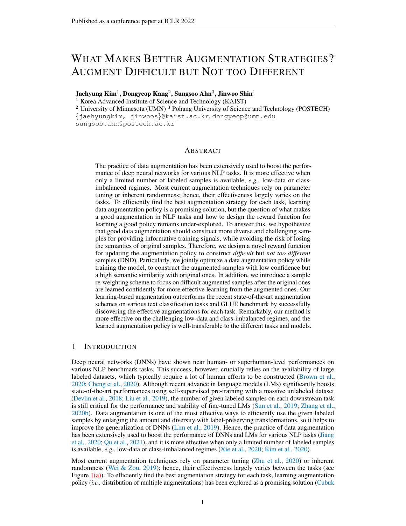# <span id="page-23-0"></span>G MORE ABLATION STUDY

In this section, we provide more ablation study on the design choices of DND. Here, all experiments are conducted on News20 [\(Lang,](#page-11-9) [1995\)](#page-11-9) and Review50 [\(Chen & Liu,](#page-9-3) [2014\)](#page-9-3) datasets. Also, the same values are used for the others except for the specified hyper-parameters. All the values and error bars are mean and standard deviation across three random seeds. The results with originally used values are underlined.

<span id="page-23-1"></span>**Number of augmentation policies**  $n<sub>T</sub>$ . As we have mentioned in Appendix [A.3,](#page-15-0) we simultaneously train multiple augmentation policies ( $n<sub>T</sub> = 4$ ). To see the effect of this, we compare the cases with less ( $n<sub>T</sub> = 1$ ) and more ( $n<sub>T</sub> = 10$ ) number of policies in Table [12.](#page-23-1) Overall, the improvement from DND is not sensitive to the number of augmentation policies, but using multiple policies shows slightly better results as it would construct more diverse augmentations.

Table 12: Effect of different number of augmentation policies.

|                           | Dataset $n_{\tau} = 1$ $n_{\tau} = 4$ $n_{\tau} = 10$              |  |
|---------------------------|--------------------------------------------------------------------|--|
| Review 50 74.84 $_{0.18}$ | News20   84.93 0.05 85.19 0.35 85.16 0.08<br>74.87 0.17 74.90 0.17 |  |

<span id="page-23-2"></span>**Number of operations**  $T$ . As described in Section [4.1,](#page-4-0) our augmentation policy is composed of two consecutive operations. Here, we compare this choice  $(T = 2)$  with less  $(T = 1)$  and more  $(T = 3, 4)$ number of operations. As shown in Table [13,](#page-23-2) one can verify that a single operation is not enough to construct complexly augmented samples; hence the empirical gain is relatively small compared to the original choice. With more operations, almost saturated improvement is observed. Remarkably, similar tendencies are also observed in vision tasks [\(Hataya et al.,](#page-10-5) [2020;](#page-10-5) [Cubuk et al.,](#page-10-16) [2020\)](#page-10-16).

Table 13: Effect of different number of operations T.

|                                                       |  | Dataset   $T = 1$ $T = 2$ $T = 3$ $T = 4$            |  |
|-------------------------------------------------------|--|------------------------------------------------------|--|
| Review 50 74.24 0.07 74.87 0.17 74.93 0.07 75.01 0.02 |  | News20   84.68 0.41 85.19 0.35 85.19 0.25 85.22 0.10 |  |

Different values for  $\alpha$  and  $\beta$ . We additionally provide the results with different values for  $\alpha$  and β, which are introduced for re-weighting scheme in  $\mathcal{R}_{task}$  (Eq. [1\)](#page-3-2). In Table [14,](#page-23-3) it is observable that each component of the re-weighting scheme is solely effective, and the gain from re-weighting is not much sensitive to the choice of  $\alpha$  and  $\beta$ . We remark the original choice  $(\alpha, \beta) = (0.5, 0.5)$  shows the best empirical gains.

Table 14: Effect of different values for hyper-parameters  $\alpha$  and  $\beta$ .

<span id="page-23-3"></span>

|                                                            |                          |                            | Dataset $(\alpha, \beta) = (0.5, 0)$ $(\alpha, \beta) = (0, 0.5)$ $(\alpha, \beta) = (0.5, 0.5)$ $(\alpha, \beta) = (1, 1)$ |
|------------------------------------------------------------|--------------------------|----------------------------|-----------------------------------------------------------------------------------------------------------------------------|
| News20<br>$85.08$ 0.12<br>Review $50 \mid$<br>$74.34$ 0.10 | 84.95 0.07<br>74.76 0.08 | $85.19$ 0.35<br>74.87 0.17 | $85.09$ 0.20<br>$74.77$ 0.13                                                                                                |